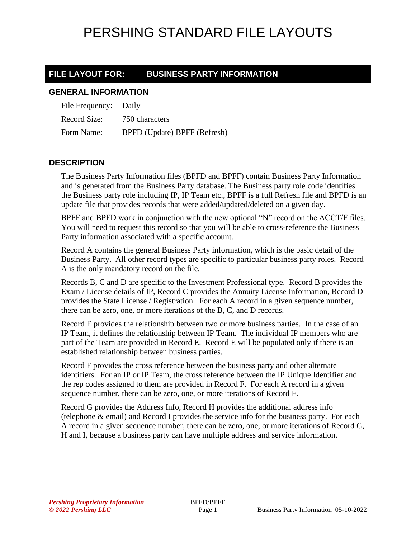### **FILE LAYOUT FOR: BUSINESS PARTY INFORMATION**

#### **GENERAL INFORMATION**

| File Frequency: Daily |                              |
|-----------------------|------------------------------|
| Record Size:          | 750 characters               |
| Form Name:            | BPFD (Update) BPFF (Refresh) |

### **DESCRIPTION**

The Business Party Information files (BPFD and BPFF) contain Business Party Information and is generated from the Business Party database. The Business party role code identifies the Business party role including IP, IP Team etc., BPFF is a full Refresh file and BPFD is an update file that provides records that were added/updated/deleted on a given day.

BPFF and BPFD work in conjunction with the new optional "N" record on the ACCT/F files. You will need to request this record so that you will be able to cross-reference the Business Party information associated with a specific account.

Record A contains the general Business Party information, which is the basic detail of the Business Party. All other record types are specific to particular business party roles. Record A is the only mandatory record on the file.

Records B, C and D are specific to the Investment Professional type. Record B provides the Exam / License details of IP, Record C provides the Annuity License Information, Record D provides the State License / Registration. For each A record in a given sequence number, there can be zero, one, or more iterations of the B, C, and D records.

Record E provides the relationship between two or more business parties. In the case of an IP Team, it defines the relationship between IP Team. The individual IP members who are part of the Team are provided in Record E. Record E will be populated only if there is an established relationship between business parties.

Record F provides the cross reference between the business party and other alternate identifiers. For an IP or IP Team, the cross reference between the IP Unique Identifier and the rep codes assigned to them are provided in Record F. For each A record in a given sequence number, there can be zero, one, or more iterations of Record F.

Record G provides the Address Info, Record H provides the additional address info (telephone & email) and Record I provides the service info for the business party. For each A record in a given sequence number, there can be zero, one, or more iterations of Record G, H and I, because a business party can have multiple address and service information.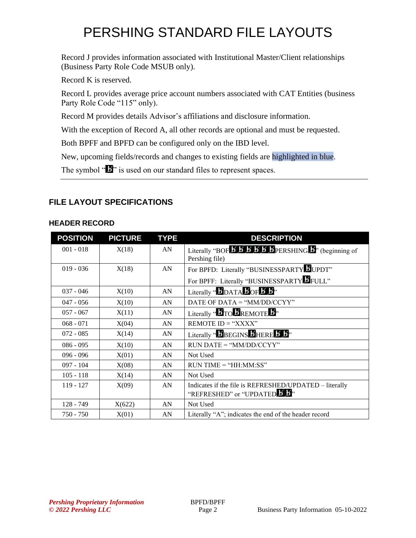Record J provides information associated with Institutional Master/Client relationships (Business Party Role Code MSUB only).

Record K is reserved.

Record L provides average price account numbers associated with CAT Entities (business Party Role Code "115" only).

Record M provides details Advisor's affiliations and disclosure information.

With the exception of Record A, all other records are optional and must be requested.

Both BPFF and BPFD can be configured only on the IBD level.

New, upcoming fields/records and changes to existing fields are highlighted in blue.

The symbol " $\mathbf{F}$ " is used on our standard files to represent spaces.

### **FILE LAYOUT SPECIFICATIONS**

#### **HEADER RECORD**

| <b>POSITION</b> | <b>PICTURE</b> | <b>TYPE</b> | <b>DESCRIPTION</b>                                                                                                                |
|-----------------|----------------|-------------|-----------------------------------------------------------------------------------------------------------------------------------|
| $001 - 018$     | X(18)          | AN          | Literally "BOF $\overline{B}$ $\overline{B}$ $\overline{B}$ $\overline{B}$ $\overline{B}$ PERSHING $\overline{B}$ " (beginning of |
|                 |                |             | Pershing file)                                                                                                                    |
| $019 - 036$     | X(18)          | AN          | For BPFD: Literally "BUSINESSPARTYLIUPDT"                                                                                         |
|                 |                |             | For BPFF: Literally "BUSINESSPARTY FULL"                                                                                          |
| $037 - 046$     | X(10)          | AN          | Literally " $\bm{b}_{\text{DATA}}$ $\bm{b}_{\text{OF}}$ $\bm{b}$ $\bm{b}$ "                                                       |
| $047 - 056$     | X(10)          | AN          | DATE OF DATA = " $MM/DD/CCYY"$                                                                                                    |
| $057 - 067$     | X(11)          | AN          | Literally " $\bm{B}$ TO $\bm{B}$ REMOTE $\bm{B}$ "                                                                                |
| $068 - 071$     | X(04)          | AN          | REMOTE ID = " $XXX"$                                                                                                              |
| $072 - 085$     | X(14)          | AN          | Literally " <b>BEGINS BHERE B</b> B <sup>2</sup>                                                                                  |
| $086 - 095$     | X(10)          | AN          | $RUN\ DATE = "MM/DD/CCYY"$                                                                                                        |
| $096 - 096$     | X(01)          | AN          | Not Used                                                                                                                          |
| $097 - 104$     | X(08)          | AN          | $RUN TIME = "HH:MM:SS"$                                                                                                           |
| $105 - 118$     | X(14)          | AN          | Not Used                                                                                                                          |
| $119 - 127$     | X(09)          | AN          | Indicates if the file is REFRESHED/UPDATED - literally                                                                            |
|                 |                |             | "REFRESHED" or "UPDATED 5.                                                                                                        |
| $128 - 749$     | X(622)         | AN          | Not Used                                                                                                                          |
| $750 - 750$     | X(01)          | AN          | Literally "A"; indicates the end of the header record                                                                             |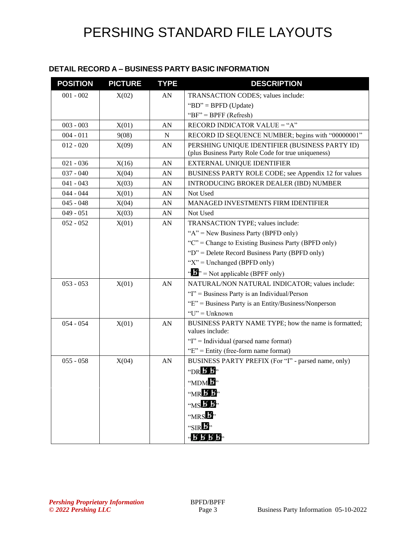#### **DETAIL RECORD A – BUSINESS PARTY BASIC INFORMATION**

| <b>POSITION</b> | <b>PICTURE</b> | <b>TYPE</b> | <b>DESCRIPTION</b>                                                                                    |
|-----------------|----------------|-------------|-------------------------------------------------------------------------------------------------------|
| $001 - 002$     | X(02)          | AN          | TRANSACTION CODES; values include:                                                                    |
|                 |                |             | "BD" = BPFD (Update)                                                                                  |
|                 |                |             | " $BF" = BPFF (Refresh)$                                                                              |
| $003 - 003$     | X(01)          | AN          | RECORD INDICATOR VALUE = "A"                                                                          |
| $004 - 011$     | 9(08)          | N           | RECORD ID SEQUENCE NUMBER; begins with "00000001"                                                     |
| $012 - 020$     | X(09)          | AN          | PERSHING UNIQUE IDENTIFIER (BUSINESS PARTY ID)<br>(plus Business Party Role Code for true uniqueness) |
| $021 - 036$     | X(16)          | AN          | EXTERNAL UNIQUE IDENTIFIER                                                                            |
| $037 - 040$     | X(04)          | AN          | BUSINESS PARTY ROLE CODE; see Appendix 12 for values                                                  |
| $041 - 043$     | X(03)          | AN          | INTRODUCING BROKER DEALER (IBD) NUMBER                                                                |
| $044 - 044$     | X(01)          | AN          | Not Used                                                                                              |
| $045 - 048$     | X(04)          | AN          | MANAGED INVESTMENTS FIRM IDENTIFIER                                                                   |
| $049 - 051$     | X(03)          | AN          | Not Used                                                                                              |
| $052 - 052$     | X(01)          | AN          | TRANSACTION TYPE; values include:                                                                     |
|                 |                |             | " $A$ " = New Business Party (BPFD only)                                                              |
|                 |                |             | "C" = Change to Existing Business Party (BPFD only)                                                   |
|                 |                |             | "D" = Delete Record Business Party (BPFD only)                                                        |
|                 |                |             | " $X$ " = Unchanged (BPFD only)                                                                       |
|                 |                |             | $\mathcal{L}$ , = Not applicable (BPFF only)                                                          |
| $053 - 053$     | X(01)          | AN          | NATURAL/NON NATURAL INDICATOR; values include:                                                        |
|                 |                |             | "I" = Business Party is an Individual/Person                                                          |
|                 |                |             | " $E$ " = Business Party is an Entity/Business/Nonperson                                              |
|                 |                |             | $"U"$ = Unknown                                                                                       |
| $054 - 054$     | X(01)          | AN          | BUSINESS PARTY NAME TYPE; how the name is formatted;<br>values include:                               |
|                 |                |             | "I" = Individual (parsed name format)                                                                 |
|                 |                |             | " $E$ " = Entity (free-form name format)                                                              |
| $055 - 058$     | X(04)          | AN          | BUSINESS PARTY PREFIX (For "I" - parsed name, only)                                                   |
|                 |                |             | $\n  TR B$                                                                                            |
|                 |                |             | "MDM <sup>B</sup> "                                                                                   |
|                 |                |             | $mR$ $\overline{B}$ .                                                                                 |
|                 |                |             | $MSE$ $\overline{B}$                                                                                  |
|                 |                |             | "MRS 5"                                                                                               |
|                 |                |             | "SIR $\mathbf{E}$ "                                                                                   |
|                 |                |             | $-$ B B B $-$                                                                                         |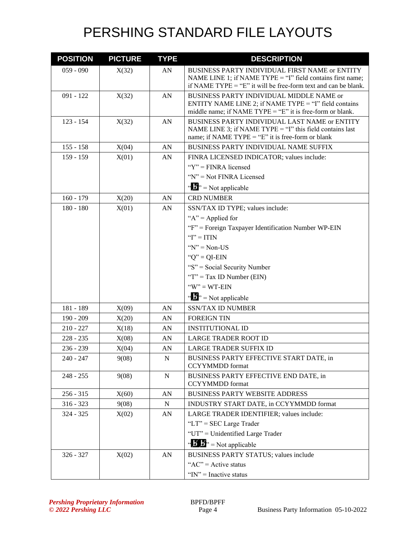| <b>POSITION</b> | <b>PICTURE</b> | <b>TYPE</b> | <b>DESCRIPTION</b>                                                                                                                                                             |
|-----------------|----------------|-------------|--------------------------------------------------------------------------------------------------------------------------------------------------------------------------------|
| $059 - 090$     | X(32)          | AN          | BUSINESS PARTY INDIVIDUAL FIRST NAME or ENTITY<br>NAME LINE 1; if NAME TYPE = "I" field contains first name;<br>if NAME TYPE = "E" it will be free-form text and can be blank. |
| $091 - 122$     | X(32)          | AN          | BUSINESS PARTY INDIVIDUAL MIDDLE NAME or<br>ENTITY NAME LINE 2; if NAME TYPE = "I" field contains<br>middle name; if NAME TYPE = "E" it is free-form or blank.                 |
| $123 - 154$     | X(32)          | AN          | BUSINESS PARTY INDIVIDUAL LAST NAME or ENTITY<br>NAME LINE 3; if NAME TYPE $=$ "I" this field contains last<br>name; if NAME TYPE = " $E$ " it is free-form or blank           |
| $155 - 158$     | X(04)          | AN          | BUSINESS PARTY INDIVIDUAL NAME SUFFIX                                                                                                                                          |
| $159 - 159$     | X(01)          | AN          | FINRA LICENSED INDICATOR; values include:                                                                                                                                      |
|                 |                |             | " $Y$ " = FINRA licensed                                                                                                                                                       |
|                 |                |             | "N" = Not FINRA Licensed                                                                                                                                                       |
|                 |                |             | $\mathbf{B}^{\prime\prime}$ = Not applicable                                                                                                                                   |
| $160 - 179$     | X(20)          | AN          | <b>CRD NUMBER</b>                                                                                                                                                              |
| $180 - 180$     | X(01)          | AN          | SSN/TAX ID TYPE; values include:                                                                                                                                               |
|                 |                |             | " $A$ " = Applied for                                                                                                                                                          |
|                 |                |             | "F" = Foreign Taxpayer Identification Number WP-EIN                                                                                                                            |
|                 |                |             | " $I$ " = ITIN                                                                                                                                                                 |
|                 |                |             | " $N$ " = Non-US                                                                                                                                                               |
|                 |                |             | " $Q$ " = QI-EIN                                                                                                                                                               |
|                 |                |             | "S" = Social Security Number                                                                                                                                                   |
|                 |                |             | " $T$ " = Tax ID Number (EIN)                                                                                                                                                  |
|                 |                |             | $W'' = WT-EIN$                                                                                                                                                                 |
|                 |                |             | $\mathbf{B}^{\prime\prime}$ = Not applicable                                                                                                                                   |
| 181 - 189       | X(09)          | AN          | <b>SSN/TAX ID NUMBER</b>                                                                                                                                                       |
| $190 - 209$     | X(20)          | AN          | <b>FOREIGN TIN</b>                                                                                                                                                             |
| $210 - 227$     | X(18)          | AN          | <b>INSTITUTIONAL ID</b>                                                                                                                                                        |
| $228 - 235$     | X(08)          | AN          | <b>LARGE TRADER ROOT ID</b>                                                                                                                                                    |
| $236 - 239$     | X(04)          | AN          | <b>LARGE TRADER SUFFIX ID</b>                                                                                                                                                  |
| 240 - 247       | 9(08)          | N           | BUSINESS PARTY EFFECTIVE START DATE, in<br><b>CCYYMMDD</b> format                                                                                                              |
| $248 - 255$     | 9(08)          | ${\bf N}$   | BUSINESS PARTY EFFECTIVE END DATE, in<br><b>CCYYMMDD</b> format                                                                                                                |
| $256 - 315$     | X(60)          | AN          | <b>BUSINESS PARTY WEBSITE ADDRESS</b>                                                                                                                                          |
| $316 - 323$     | 9(08)          | N           | INDUSTRY START DATE, in CCYYMMDD format                                                                                                                                        |
| $324 - 325$     | X(02)          | AN          | LARGE TRADER IDENTIFIER; values include:                                                                                                                                       |
|                 |                |             | "LT" = $SEC$ Large Trader                                                                                                                                                      |
|                 |                |             | "UT" = Unidentified Large Trader                                                                                                                                               |
|                 |                |             | $\mathbf{B} \cdot \mathbf{B}$ <sup>3</sup> = Not applicable                                                                                                                    |
| $326 - 327$     | X(02)          | AN          | <b>BUSINESS PARTY STATUS; values include</b>                                                                                                                                   |
|                 |                |             | " $AC$ " = Active status                                                                                                                                                       |
|                 |                |             | " $IN$ " = Inactive status                                                                                                                                                     |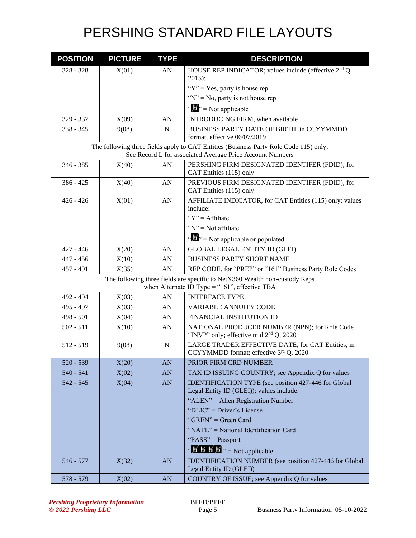| <b>POSITION</b> | <b>PICTURE</b> | <b>TYPE</b> | <b>DESCRIPTION</b>                                                                                                                                 |
|-----------------|----------------|-------------|----------------------------------------------------------------------------------------------------------------------------------------------------|
| $328 - 328$     | X(01)          | AN          | HOUSE REP INDICATOR; values include (effective 2 <sup>nd</sup> Q                                                                                   |
|                 |                |             | $2015$ :                                                                                                                                           |
|                 |                |             | " $Y$ " = Yes, party is house rep                                                                                                                  |
|                 |                |             | " $N$ " = No, party is not house rep                                                                                                               |
|                 |                |             | $\mathbf{A}^{\prime\prime}$ = Not applicable                                                                                                       |
| 329 - 337       | X(09)          | AN          | INTRODUCING FIRM, when available                                                                                                                   |
| $338 - 345$     | 9(08)          | $\mathbf N$ | BUSINESS PARTY DATE OF BIRTH, in CCYYMMDD<br>format, effective 06/07/2019                                                                          |
|                 |                |             | The following three fields apply to CAT Entities (Business Party Role Code 115) only.<br>See Record L for associated Average Price Account Numbers |
| $346 - 385$     | X(40)          | AN          | PERSHING FIRM DESIGNATED IDENTIFER (FDID), for<br>CAT Entities (115) only                                                                          |
| $386 - 425$     | X(40)          | AN          | PREVIOUS FIRM DESIGNATED IDENTIFER (FDID), for<br>CAT Entities (115) only                                                                          |
| $426 - 426$     | X(01)          | AN          | AFFILIATE INDICATOR, for CAT Entities (115) only; values<br>include:                                                                               |
|                 |                |             | " $Y$ " = Affiliate"                                                                                                                               |
|                 |                |             | " $N$ " = Not affiliate                                                                                                                            |
|                 |                |             | $\mathbf{A}^{\mathbf{a}}$ $\mathbf{B}^{\mathbf{b}}$ = Not applicable or populated                                                                  |
| $427 - 446$     | X(20)          | AN          | <b>GLOBAL LEGAL ENTITY ID (GLEI)</b>                                                                                                               |
| $447 - 456$     | X(10)          | AN          | <b>BUSINESS PARTY SHORT NAME</b>                                                                                                                   |
| 457 - 491       | X(35)          | AN          | REP CODE, for "PREP" or "161" Business Party Role Codes                                                                                            |
|                 |                |             | The following three fields are specific to NetX360 Wealth non-custody Reps<br>when Alternate ID Type = "161", effective TBA                        |
| 492 - 494       | X(03)          | AN          | <b>INTERFACE TYPE</b>                                                                                                                              |
| 495 - 497       | X(03)          | AN          | VARIABLE ANNUITY CODE                                                                                                                              |
| $498 - 501$     | X(04)          | AN          | FINANCIAL INSTITUTION ID                                                                                                                           |
| $502 - 511$     | X(10)          | AN          | NATIONAL PRODUCER NUMBER (NPN); for Role Code<br>"INVP" only; effective mid $2nd Q$ , 2020                                                         |
| $512 - 519$     | 9(08)          | $\mathbf N$ | LARGE TRADER EFFECTIVE DATE, for CAT Entities, in<br>CCYYMMDD format; effective 3rd Q, 2020                                                        |
| $520 - 539$     | X(20)          | AN          | PRIOR FIRM CRD NUMBER                                                                                                                              |
| $540 - 541$     | X(02)          | AN          | TAX ID ISSUING COUNTRY; see Appendix Q for values                                                                                                  |
| $542 - 545$     | X(04)          | AN          | <b>IDENTIFICATION TYPE</b> (see position 427-446 for Global<br>Legal Entity ID (GLEI)); values include:                                            |
|                 |                |             | "ALEN" = Alien Registration Number                                                                                                                 |
|                 |                |             | "DLIC" = Driver's License                                                                                                                          |
|                 |                |             | "GREN" = Green Card                                                                                                                                |
|                 |                |             | "NATL" = National Identification Card                                                                                                              |
|                 |                |             | "PASS" = Passport                                                                                                                                  |
|                 |                |             | $\cdot \cdot$ <b>5 5 5</b> $\cdot \cdot$ = Not applicable                                                                                          |
| 546 - 577       | X(32)          | AN          | IDENTIFICATION NUMBER (see position 427-446 for Global<br>Legal Entity ID (GLEI))                                                                  |
| 578 - 579       | X(02)          | AN          | COUNTRY OF ISSUE; see Appendix Q for values                                                                                                        |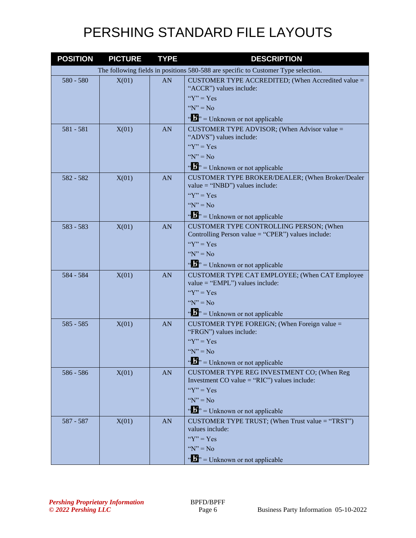| <b>POSITION</b> | <b>PICTURE</b> | <b>TYPE</b> | <b>DESCRIPTION</b>                                                                             |
|-----------------|----------------|-------------|------------------------------------------------------------------------------------------------|
|                 |                |             | The following fields in positions 580-588 are specific to Customer Type selection.             |
| 580 - 580       | X(01)          | AN          | CUSTOMER TYPE ACCREDITED; (When Accredited value =<br>"ACCR") values include:                  |
|                 |                |             | " $Y$ " = $Yes$                                                                                |
|                 |                |             | " $N$ " = No                                                                                   |
|                 |                |             | $\cdots$ $\cdots$ $\cdots$ Unknown or not applicable                                           |
| $581 - 581$     | X(01)          | AN          | CUSTOMER TYPE ADVISOR; (When Advisor value =<br>"ADVS") values include:                        |
|                 |                |             | " $Y$ " = Yes                                                                                  |
|                 |                |             | " $N$ " = No                                                                                   |
|                 |                |             | $\cdots$ $\cdots$ $\cdots$ Unknown or not applicable                                           |
| 582 - 582       | X(01)          | AN          | CUSTOMER TYPE BROKER/DEALER; (When Broker/Dealer<br>value = " $\text{NBD}$ ") values include:  |
|                 |                |             | " $Y$ " = $Yes$                                                                                |
|                 |                |             | " $N$ " = No                                                                                   |
|                 |                |             | $\cdots$ $\cdots$ $\cdots$ Unknown or not applicable                                           |
| $583 - 583$     | X(01)          | AN          | CUSTOMER TYPE CONTROLLING PERSON; (When<br>Controlling Person value = "CPER") values include:  |
|                 |                |             | " $Y$ " = $Yes$                                                                                |
|                 |                |             | " $N$ " = No                                                                                   |
|                 |                |             | $\cdots$ $\cdots$ $\cdots$ Unknown or not applicable                                           |
| 584 - 584       | X(01)          | AN          | CUSTOMER TYPE CAT EMPLOYEE; (When CAT Employee<br>$value = "EMPL")$ values include:            |
|                 |                |             | " $Y$ " = $Yes$                                                                                |
|                 |                |             | " $N$ " = No                                                                                   |
|                 |                |             | $\mathbf{w}$ = Unknown or not applicable                                                       |
| $585 - 585$     | X(01)          | <b>AN</b>   | CUSTOMER TYPE FOREIGN; (When Foreign value $=$<br>"FRGN") values include:                      |
|                 |                |             | " $Y$ " = Yes                                                                                  |
|                 |                |             | " $N" = No$                                                                                    |
|                 |                |             | $\mathbf{F}^{\mathbf{a}}$ = Unknown or not applicable                                          |
| 586 - 586       | X(01)          | <b>AN</b>   | CUSTOMER TYPE REG INVESTMENT CO; (When Reg<br>Investment CO value = " $RIC$ ") values include: |
|                 |                |             | " $Y$ " = Yes                                                                                  |
|                 |                |             | " $N" = No$                                                                                    |
|                 |                |             | $\cdots$ $\cdots$ $\cdots$ Unknown or not applicable                                           |
| 587 - 587       | X(01)          | <b>AN</b>   | CUSTOMER TYPE TRUST; (When Trust value = "TRST")<br>values include:                            |
|                 |                |             | " $Y$ " = Yes                                                                                  |
|                 |                |             | " $N$ " = No                                                                                   |
|                 |                |             | $\cdots$ $\cdots$ $\cdots$ Unknown or not applicable                                           |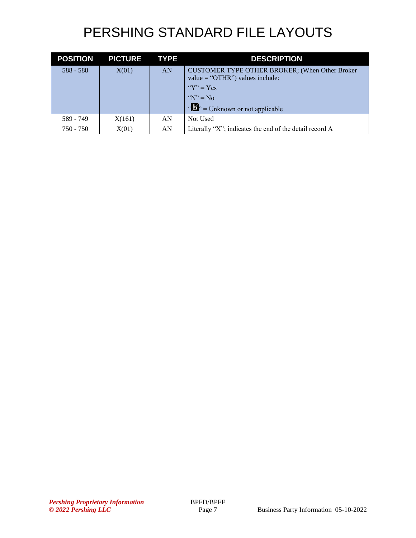| <b>POSITION</b> | <b>PICTURE</b> | <b>TYPE</b> | <b>DESCRIPTION</b>                                                                               |
|-----------------|----------------|-------------|--------------------------------------------------------------------------------------------------|
| $588 - 588$     | X(01)          | <b>AN</b>   | CUSTOMER TYPE OTHER BROKER; (When Other Broker<br>value = " $\overline{OTHR}$ ") values include: |
|                 |                |             | " $Y$ " = Yes                                                                                    |
|                 |                |             | $\mathbf{W}$ " = No                                                                              |
|                 |                |             | $\mathbf{u}$ $\mathbf{v}$ = Unknown or not applicable                                            |
| 589 - 749       | X(161)         | AN          | Not Used                                                                                         |
| $750 - 750$     | X(01)          | AN          | Literally "X"; indicates the end of the detail record A                                          |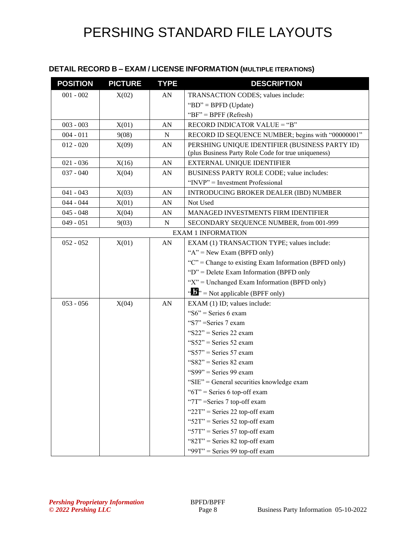### **DETAIL RECORD B – EXAM / LICENSE INFORMATION (MULTIPLE ITERATIONS)**

| <b>POSITION</b> | <b>PICTURE</b> | <b>TYPE</b> | <b>DESCRIPTION</b>                                                                                    |
|-----------------|----------------|-------------|-------------------------------------------------------------------------------------------------------|
| $001 - 002$     | X(02)          | AN          | TRANSACTION CODES; values include:                                                                    |
|                 |                |             | "BD" = BPFD (Update)                                                                                  |
|                 |                |             | " $BF$ " = BPFF (Refresh)                                                                             |
| $003 - 003$     | X(01)          | AN          | RECORD INDICATOR VALUE = "B"                                                                          |
| $004 - 011$     | 9(08)          | N           | RECORD ID SEQUENCE NUMBER; begins with "00000001"                                                     |
| $012 - 020$     | X(09)          | AN          | PERSHING UNIQUE IDENTIFIER (BUSINESS PARTY ID)<br>(plus Business Party Role Code for true uniqueness) |
| $021 - 036$     | X(16)          | AN          | EXTERNAL UNIQUE IDENTIFIER                                                                            |
| $037 - 040$     | X(04)          | AN          | BUSINESS PARTY ROLE CODE; value includes:                                                             |
|                 |                |             | "INVP" = Investment Professional                                                                      |
| $041 - 043$     | X(03)          | AN          | <b>INTRODUCING BROKER DEALER (IBD) NUMBER</b>                                                         |
| $044 - 044$     | X(01)          | AN          | Not Used                                                                                              |
| $045 - 048$     | X(04)          | AN          | MANAGED INVESTMENTS FIRM IDENTIFIER                                                                   |
| $049 - 051$     | 9(03)          | N           | SECONDARY SEQUENCE NUMBER, from 001-999                                                               |
|                 |                |             | <b>EXAM 1 INFORMATION</b>                                                                             |
| $052 - 052$     | X(01)          | AN          | EXAM (1) TRANSACTION TYPE; values include:                                                            |
|                 |                |             | " $A$ " = New Exam (BPFD only)                                                                        |
|                 |                |             | " $C$ " = Change to existing Exam Information (BPFD only)                                             |
|                 |                |             | " $D$ " = Delete Exam Information (BPFD only                                                          |
|                 |                |             | " $X$ " = Unchanged Exam Information (BPFD only)                                                      |
|                 |                |             | " $\mathbf{F}$ " = Not applicable (BPFF only)                                                         |
| $053 - 056$     | X(04)          | AN          | EXAM (1) ID; values include:                                                                          |
|                 |                |             | "S6" = Series 6 exam                                                                                  |
|                 |                |             | "S7" = Series 7 exam                                                                                  |
|                 |                |             | " $S22$ " = Series 22 exam                                                                            |
|                 |                |             | " $S52"$ = Series 52 exam                                                                             |
|                 |                |             | "S57" = Series 57 exam                                                                                |
|                 |                |             | "S $82$ " = Series 82 exam                                                                            |
|                 |                |             | "S99" = Series 99 exam                                                                                |
|                 |                |             | "SIE" = General securities knowledge exam                                                             |
|                 |                |             | " $6T$ " = Series 6 top-off exam                                                                      |
|                 |                |             | "7T" = Series 7 top-off exam                                                                          |
|                 |                |             | " $22T$ " = Series 22 top-off exam                                                                    |
|                 |                |             | " $52T$ " = Series 52 top-off exam                                                                    |
|                 |                |             | " $57T$ " = Series 57 top-off exam                                                                    |
|                 |                |             | " $82T$ " = Series 82 top-off exam                                                                    |
|                 |                |             | " $99T$ " = Series 99 top-off exam                                                                    |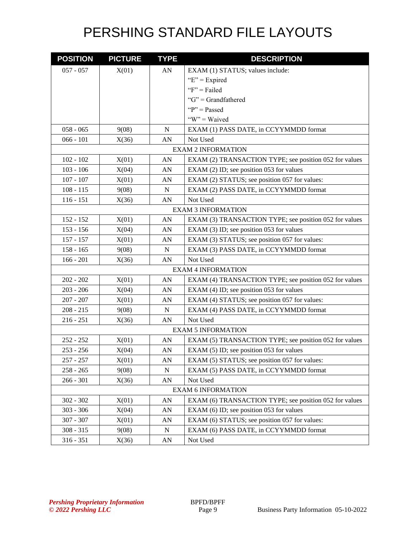| <b>POSITION</b>           | <b>PICTURE</b> | <b>TYPE</b> | <b>DESCRIPTION</b>                                     |
|---------------------------|----------------|-------------|--------------------------------------------------------|
| $057 - 057$               | X(01)          | AN          | EXAM (1) STATUS; values include:                       |
|                           |                |             | " $E$ " = Expired                                      |
|                           |                |             | " $F$ " = Failed                                       |
|                           |                |             | " $G$ " = Grandfathered                                |
|                           |                |             | " $P$ " = Passed                                       |
|                           |                |             | "W" = Waived                                           |
| $058 - 065$               | 9(08)          | N           | EXAM (1) PASS DATE, in CCYYMMDD format                 |
| $066 - 101$               | X(36)          | AN          | Not Used                                               |
|                           |                |             | <b>EXAM 2 INFORMATION</b>                              |
| $102 - 102$               | X(01)          | AN          | EXAM (2) TRANSACTION TYPE; see position 052 for values |
| $103 - 106$               | X(04)          | AN          | EXAM (2) ID; see position 053 for values               |
| $107 - 107$               | X(01)          | AN          | EXAM (2) STATUS; see position 057 for values:          |
| $108 - 115$               | 9(08)          | $\mathbf N$ | EXAM (2) PASS DATE, in CCYYMMDD format                 |
| $116 - 151$               | X(36)          | AN          | Not Used                                               |
|                           |                |             | <b>EXAM 3 INFORMATION</b>                              |
| $152 - 152$               | X(01)          | AN          | EXAM (3) TRANSACTION TYPE; see position 052 for values |
| $153 - 156$               | X(04)          | AN          | EXAM $(3)$ ID; see position 053 for values             |
| $157 - 157$               | X(01)          | AN          | EXAM (3) STATUS; see position 057 for values:          |
| $158 - 165$               | 9(08)          | $\mathbf N$ | EXAM (3) PASS DATE, in CCYYMMDD format                 |
| $166 - 201$               | X(36)          | AN          | Not Used                                               |
| <b>EXAM 4 INFORMATION</b> |                |             |                                                        |
| $202 - 202$               | X(01)          | AN          | EXAM (4) TRANSACTION TYPE; see position 052 for values |
| $203 - 206$               | X(04)          | AN          | EXAM (4) ID; see position 053 for values               |
| $207 - 207$               | X(01)          | AN          | EXAM (4) STATUS; see position 057 for values:          |
| $208 - 215$               | 9(08)          | N           | EXAM (4) PASS DATE, in CCYYMMDD format                 |
| $216 - 251$               | X(36)          | AN          | Not Used                                               |
|                           |                |             | <b>EXAM 5 INFORMATION</b>                              |
| $252 - 252$               | X(01)          | AN          | EXAM (5) TRANSACTION TYPE; see position 052 for values |
| $253 - 256$               | X(04)          | AN          | EXAM $(5)$ ID; see position 053 for values             |
| $257 - 257$               | X(01)          | AN          | EXAM (5) STATUS; see position 057 for values:          |
| $258 - 265$               | 9(08)          | N           | EXAM (5) PASS DATE, in CCYYMMDD format                 |
| $266 - 301$               | X(36)          | ${\rm AN}$  | Not Used                                               |
|                           |                |             | <b>EXAM 6 INFORMATION</b>                              |
| $302 - 302$               | X(01)          | AN          | EXAM (6) TRANSACTION TYPE; see position 052 for values |
| $303 - 306$               | X(04)          | AN          | EXAM (6) ID; see position 053 for values               |
| $307 - 307$               | X(01)          | AN          | EXAM (6) STATUS; see position 057 for values:          |
| $308 - 315$               | 9(08)          | ${\bf N}$   | EXAM (6) PASS DATE, in CCYYMMDD format                 |
| $316 - 351$               | X(36)          | AN          | Not Used                                               |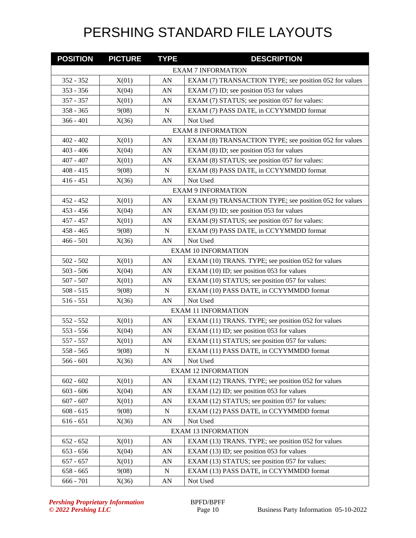| <b>POSITION</b> | <b>PICTURE</b> | <b>TYPE</b> | <b>DESCRIPTION</b>                                     |
|-----------------|----------------|-------------|--------------------------------------------------------|
|                 |                |             | <b>EXAM 7 INFORMATION</b>                              |
| 352 - 352       | X(01)          | AN          | EXAM (7) TRANSACTION TYPE; see position 052 for values |
| $353 - 356$     | X(04)          | AN          | EXAM $(7)$ ID; see position 053 for values             |
| 357 - 357       | X(01)          | AN          | EXAM (7) STATUS; see position 057 for values:          |
| $358 - 365$     | 9(08)          | N           | EXAM (7) PASS DATE, in CCYYMMDD format                 |
| $366 - 401$     | X(36)          | AN          | Not Used                                               |
|                 |                |             | <b>EXAM 8 INFORMATION</b>                              |
| $402 - 402$     | X(01)          | AN          | EXAM (8) TRANSACTION TYPE; see position 052 for values |
| $403 - 406$     | X(04)          | AN          | EXAM (8) ID; see position 053 for values               |
| $407 - 407$     | X(01)          | AN          | EXAM (8) STATUS; see position 057 for values:          |
| $408 - 415$     | 9(08)          | $\mathbf N$ | EXAM (8) PASS DATE, in CCYYMMDD format                 |
| $416 - 451$     | X(36)          | AN          | Not Used                                               |
|                 |                |             | <b>EXAM 9 INFORMATION</b>                              |
| $452 - 452$     | X(01)          | AN          | EXAM (9) TRANSACTION TYPE; see position 052 for values |
| $453 - 456$     | X(04)          | AN          | EXAM (9) ID; see position 053 for values               |
| $457 - 457$     | X(01)          | AN          | EXAM (9) STATUS; see position 057 for values:          |
| $458 - 465$     | 9(08)          | N           | EXAM (9) PASS DATE, in CCYYMMDD format                 |
| $466 - 501$     | X(36)          | AN          | Not Used                                               |
|                 |                |             | <b>EXAM 10 INFORMATION</b>                             |
| $502 - 502$     | X(01)          | AN          | EXAM (10) TRANS. TYPE; see position 052 for values     |
| $503 - 506$     | X(04)          | AN          | EXAM (10) ID; see position 053 for values              |
| $507 - 507$     | X(01)          | AN          | EXAM (10) STATUS; see position 057 for values:         |
| $508 - 515$     | 9(08)          | $\mathbf N$ | EXAM (10) PASS DATE, in CCYYMMDD format                |
| $516 - 551$     | X(36)          | AN          | Not Used                                               |
|                 |                |             | <b>EXAM 11 INFORMATION</b>                             |
| 552 - 552       | X(01)          | ${\rm AN}$  | EXAM (11) TRANS. TYPE; see position 052 for values     |
| $553 - 556$     | X(04)          | AN          | EXAM (11) ID; see position 053 for values              |
| 557 - 557       | X(01)          | AN          | EXAM (11) STATUS; see position 057 for values:         |
| $558 - 565$     | 9(08)          | N           | EXAM (11) PASS DATE, in CCYYMMDD format                |
| $566 - 601$     | X(36)          | AN          | Not Used                                               |
|                 |                |             | <b>EXAM 12 INFORMATION</b>                             |
| $602 - 602$     | X(01)          | AN          | EXAM (12) TRANS. TYPE; see position 052 for values     |
| $603 - 606$     | X(04)          | AN          | EXAM (12) ID; see position 053 for values              |
| $607 - 607$     | X(01)          | AN          | EXAM (12) STATUS; see position 057 for values:         |
| $608 - 615$     | 9(08)          | ${\bf N}$   | EXAM (12) PASS DATE, in CCYYMMDD format                |
| $616 - 651$     | X(36)          | AN          | Not Used                                               |
|                 |                |             | <b>EXAM 13 INFORMATION</b>                             |
| $652 - 652$     | X(01)          | AN          | EXAM (13) TRANS. TYPE; see position 052 for values     |
| $653 - 656$     | X(04)          | AN          | EXAM (13) ID; see position 053 for values              |
| $657 - 657$     | X(01)          | AN          | EXAM (13) STATUS; see position 057 for values:         |
| $658 - 665$     | 9(08)          | N           | EXAM (13) PASS DATE, in CCYYMMDD format                |
| $666 - 701$     | X(36)          | AN          | Not Used                                               |

**Pershing Proprietary Information**<br>
© 2022 Pershing LLC<br>
Page 10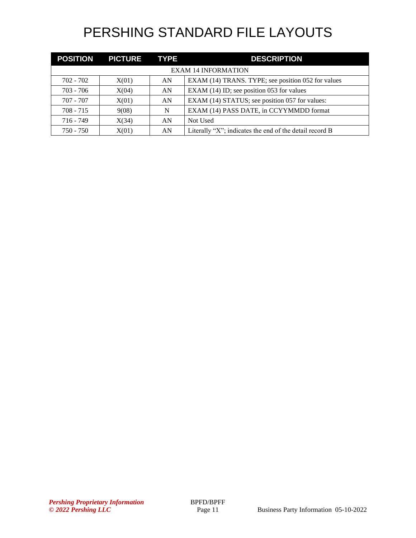|                            | <b>POSITION PICTURE TYPE</b> |    | <b>DESCRIPTION</b>                                          |  |
|----------------------------|------------------------------|----|-------------------------------------------------------------|--|
| <b>EXAM 14 INFORMATION</b> |                              |    |                                                             |  |
| 702 - 702                  | X(01)                        | AN | EXAM (14) TRANS. TYPE; see position 052 for values          |  |
| $703 - 706$                | X(04)                        | AN | EXAM (14) ID; see position 053 for values                   |  |
| $707 - 707$                | X(01)                        | AN | EXAM (14) STATUS; see position 057 for values:              |  |
| $708 - 715$                | 9(08)                        | N  | EXAM (14) PASS DATE, in CCYYMMDD format                     |  |
| $716 - 749$                | X(34)                        | AN | Not Used                                                    |  |
| $750 - 750$                | X(01)                        | AN | Literally " $X$ "; indicates the end of the detail record B |  |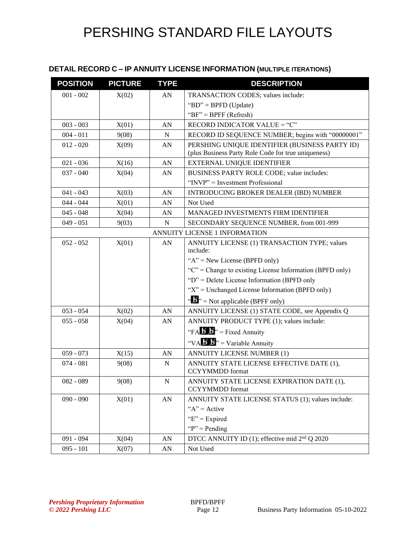### **DETAIL RECORD C – IP ANNUITY LICENSE INFORMATION (MULTIPLE ITERATIONS)**

| <b>POSITION</b>               | <b>PICTURE</b> | <b>TYPE</b> | <b>DESCRIPTION</b>                                                                                    |  |
|-------------------------------|----------------|-------------|-------------------------------------------------------------------------------------------------------|--|
| $001 - 002$                   | X(02)          | AN          | TRANSACTION CODES; values include:                                                                    |  |
|                               |                |             | "BD" = BPFD (Update)                                                                                  |  |
|                               |                |             | " $BF" = BPFF (Refresh)$                                                                              |  |
| $003 - 003$                   | X(01)          | AN          | RECORD INDICATOR VALUE = "C"                                                                          |  |
| $004 - 011$                   | 9(08)          | $\mathbf N$ | RECORD ID SEQUENCE NUMBER; begins with "00000001"                                                     |  |
| $012 - 020$                   | X(09)          | AN          | PERSHING UNIQUE IDENTIFIER (BUSINESS PARTY ID)<br>(plus Business Party Role Code for true uniqueness) |  |
| $021 - 036$                   | X(16)          | AN          | EXTERNAL UNIQUE IDENTIFIER                                                                            |  |
| $037 - 040$                   | X(04)          | AN          | BUSINESS PARTY ROLE CODE; value includes:                                                             |  |
|                               |                |             | "INVP" = Investment Professional                                                                      |  |
| $041 - 043$                   | X(03)          | AN          | <b>INTRODUCING BROKER DEALER (IBD) NUMBER</b>                                                         |  |
| $044 - 044$                   | X(01)          | AN          | Not Used                                                                                              |  |
| $045 - 048$                   | X(04)          | AN          | MANAGED INVESTMENTS FIRM IDENTIFIER                                                                   |  |
| $049 - 051$                   | 9(03)          | $\mathbf N$ | SECONDARY SEQUENCE NUMBER, from 001-999                                                               |  |
| ANNUITY LICENSE 1 INFORMATION |                |             |                                                                                                       |  |
| $052 - 052$                   | X(01)          | AN          | ANNUITY LICENSE (1) TRANSACTION TYPE; values<br>include:                                              |  |
|                               |                |             | " $A$ " = New License (BPFD only)                                                                     |  |
|                               |                |             | " $C$ " = Change to existing License Information (BPFD only)                                          |  |
|                               |                |             | "D" = Delete License Information (BPFD only                                                           |  |
|                               |                |             | " $X$ " = Unchanged License Information (BPFD only)                                                   |  |
|                               |                |             | " $\mathbf{F}$ " = Not applicable (BPFF only)                                                         |  |
| $053 - 054$                   | X(02)          | AN          | ANNUITY LICENSE (1) STATE CODE, see Appendix Q                                                        |  |
| $055 - 058$                   | X(04)          | AN          | ANNUITY PRODUCT TYPE (1); values include:                                                             |  |
|                               |                |             | "FA $\mathbf{B}$ $\mathbf{B}$ " = Fixed Annuity                                                       |  |
|                               |                |             | "VA $\mathbf{B}$ " = Variable Annuity                                                                 |  |
| $059 - 073$                   | X(15)          | AN          | <b>ANNUITY LICENSE NUMBER (1)</b>                                                                     |  |
| $074 - 081$                   | 9(08)          | $\mathbf N$ | ANNUITY STATE LICENSE EFFECTIVE DATE (1),<br><b>CCYYMMDD</b> format                                   |  |
| $082 - 089$                   | 9(08)          | ${\bf N}$   | ANNUITY STATE LICENSE EXPIRATION DATE (1),                                                            |  |
|                               |                |             | <b>CCYYMMDD</b> format                                                                                |  |
| $090 - 090$                   | X(01)          | AN          | ANNUITY STATE LICENSE STATUS (1); values include:                                                     |  |
|                               |                |             | " $A$ " = Active                                                                                      |  |
|                               |                |             | " $E$ " = Expired                                                                                     |  |
|                               |                |             | " $P$ " = Pending"                                                                                    |  |
| $091 - 094$                   | X(04)          | AN          | DTCC ANNUITY ID (1); effective mid 2 <sup>nd</sup> Q 2020                                             |  |
| $095 - 101$                   | X(07)          | AN          | Not Used                                                                                              |  |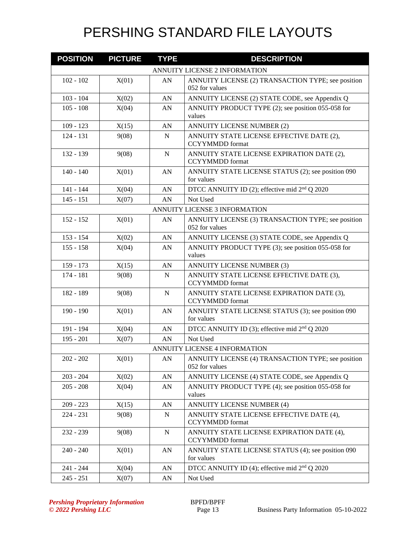| <b>POSITION</b> | <b>PICTURE</b> | <b>TYPE</b>      | <b>DESCRIPTION</b>                                                   |
|-----------------|----------------|------------------|----------------------------------------------------------------------|
|                 |                |                  | ANNUITY LICENSE 2 INFORMATION                                        |
| $102 - 102$     | X(01)          | AN               | ANNUITY LICENSE (2) TRANSACTION TYPE; see position<br>052 for values |
| $103 - 104$     | X(02)          | AN               | ANNUITY LICENSE (2) STATE CODE, see Appendix Q                       |
| $105 - 108$     | X(04)          | ${\rm AN}$       | ANNUITY PRODUCT TYPE (2); see position 055-058 for<br>values         |
| $109 - 123$     | X(15)          | AN               | ANNUITY LICENSE NUMBER (2)                                           |
| $124 - 131$     | 9(08)          | $\mathbf N$      | ANNUITY STATE LICENSE EFFECTIVE DATE (2),<br><b>CCYYMMDD</b> format  |
| 132 - 139       | 9(08)          | $\mathbf N$      | ANNUITY STATE LICENSE EXPIRATION DATE (2),<br><b>CCYYMMDD</b> format |
| $140 - 140$     | X(01)          | AN               | ANNUITY STATE LICENSE STATUS (2); see position 090<br>for values     |
| $141 - 144$     | X(04)          | AN               | DTCC ANNUITY ID (2); effective mid 2 <sup>nd</sup> Q 2020            |
| $145 - 151$     | X(07)          | AN               | Not Used                                                             |
|                 |                |                  | <b>ANNUITY LICENSE 3 INFORMATION</b>                                 |
| $152 - 152$     | X(01)          | AN               | ANNUITY LICENSE (3) TRANSACTION TYPE; see position<br>052 for values |
| $153 - 154$     | X(02)          | AN               | ANNUITY LICENSE (3) STATE CODE, see Appendix Q                       |
| $155 - 158$     | X(04)          | ${\rm AN}$       | ANNUITY PRODUCT TYPE (3); see position 055-058 for<br>values         |
| 159 - 173       | X(15)          | AN               | <b>ANNUITY LICENSE NUMBER (3)</b>                                    |
| $174 - 181$     | 9(08)          | $\mathbf N$      | ANNUITY STATE LICENSE EFFECTIVE DATE (3),<br><b>CCYYMMDD</b> format  |
| 182 - 189       | 9(08)          | $\mathbf N$      | ANNUITY STATE LICENSE EXPIRATION DATE (3),<br><b>CCYYMMDD</b> format |
| $190 - 190$     | X(01)          | AN               | ANNUITY STATE LICENSE STATUS (3); see position 090<br>for values     |
| 191 - 194       | X(04)          | AN               | DTCC ANNUITY ID (3); effective mid 2 <sup>nd</sup> Q 2020            |
| $195 - 201$     | X(07)          | AN               | Not Used                                                             |
|                 |                |                  | ANNUITY LICENSE 4 INFORMATION                                        |
| 202 - 202       | X(01)          | AN               | ANNUITY LICENSE (4) TRANSACTION TYPE; see position<br>052 for values |
| $203 - 204$     | X(02)          | AN               | ANNUITY LICENSE (4) STATE CODE, see Appendix Q                       |
| $205 - 208$     | X(04)          | AN               | ANNUITY PRODUCT TYPE (4); see position 055-058 for<br>values         |
| $209 - 223$     | X(15)          | AN               | ANNUITY LICENSE NUMBER (4)                                           |
| $224 - 231$     | 9(08)          | N                | ANNUITY STATE LICENSE EFFECTIVE DATE (4),<br><b>CCYYMMDD</b> format  |
| $232 - 239$     | 9(08)          | ${\bf N}$        | ANNUITY STATE LICENSE EXPIRATION DATE (4),<br><b>CCYYMMDD</b> format |
| $240 - 240$     | X(01)          | AN               | ANNUITY STATE LICENSE STATUS (4); see position 090<br>for values     |
| 241 - 244       | X(04)          | ${\bf A}{\bf N}$ | DTCC ANNUITY ID (4); effective mid 2 <sup>nd</sup> Q 2020            |
| $245 - 251$     | X(07)          | AN               | Not Used                                                             |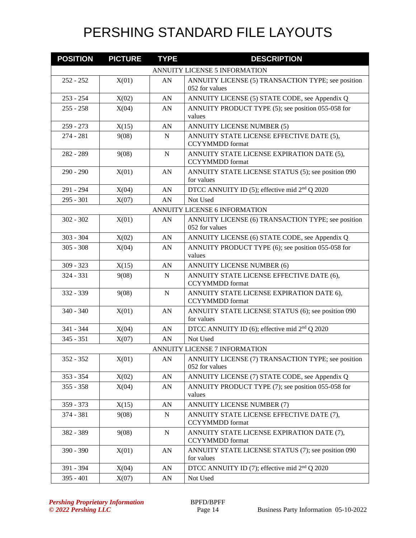| <b>POSITION</b> | <b>PICTURE</b> | <b>TYPE</b> | <b>DESCRIPTION</b>                                                   |
|-----------------|----------------|-------------|----------------------------------------------------------------------|
|                 |                |             | <b>ANNUITY LICENSE 5 INFORMATION</b>                                 |
| $252 - 252$     | X(01)          | AN          | ANNUITY LICENSE (5) TRANSACTION TYPE; see position<br>052 for values |
| $253 - 254$     | X(02)          | AN          | ANNUITY LICENSE (5) STATE CODE, see Appendix Q                       |
| $255 - 258$     | X(04)          | ${\rm AN}$  | ANNUITY PRODUCT TYPE (5); see position 055-058 for<br>values         |
| $259 - 273$     | X(15)          | AN          | <b>ANNUITY LICENSE NUMBER (5)</b>                                    |
| $274 - 281$     | 9(08)          | $\mathbf N$ | ANNUITY STATE LICENSE EFFECTIVE DATE (5),<br><b>CCYYMMDD</b> format  |
| 282 - 289       | 9(08)          | $\mathbf N$ | ANNUITY STATE LICENSE EXPIRATION DATE (5),<br><b>CCYYMMDD</b> format |
| $290 - 290$     | X(01)          | AN          | ANNUITY STATE LICENSE STATUS (5); see position 090<br>for values     |
| 291 - 294       | X(04)          | AN          | DTCC ANNUITY ID (5); effective mid 2 <sup>nd</sup> Q 2020            |
| $295 - 301$     | X(07)          | AN          | Not Used                                                             |
|                 |                |             | ANNUITY LICENSE 6 INFORMATION                                        |
| $302 - 302$     | X(01)          | AN          | ANNUITY LICENSE (6) TRANSACTION TYPE; see position<br>052 for values |
| $303 - 304$     | X(02)          | AN          | ANNUITY LICENSE (6) STATE CODE, see Appendix Q                       |
| $305 - 308$     | X(04)          | AN          | ANNUITY PRODUCT TYPE (6); see position 055-058 for<br>values         |
| $309 - 323$     | X(15)          | AN          | <b>ANNUITY LICENSE NUMBER (6)</b>                                    |
| $324 - 331$     | 9(08)          | $\mathbf N$ | ANNUITY STATE LICENSE EFFECTIVE DATE (6),<br><b>CCYYMMDD</b> format  |
| 332 - 339       | 9(08)          | N           | ANNUITY STATE LICENSE EXPIRATION DATE 6),<br><b>CCYYMMDD</b> format  |
| $340 - 340$     | X(01)          | AN          | ANNUITY STATE LICENSE STATUS (6); see position 090<br>for values     |
| 341 - 344       | X(04)          | AN          | DTCC ANNUITY ID (6); effective mid 2 <sup>nd</sup> Q 2020            |
| $345 - 351$     | X(07)          | AN          | Not Used                                                             |
|                 |                |             | ANNUITY LICENSE 7 INFORMATION                                        |
| 352 - 352       | X(01)          | AN          | ANNUITY LICENSE (7) TRANSACTION TYPE; see position<br>052 for values |
| $353 - 354$     | X(02)          | AN          | ANNUITY LICENSE (7) STATE CODE, see Appendix Q                       |
| $355 - 358$     | X(04)          | AN          | ANNUITY PRODUCT TYPE (7); see position 055-058 for<br>values         |
| 359 - 373       | X(15)          | AN          | <b>ANNUITY LICENSE NUMBER (7)</b>                                    |
| 374 - 381       | 9(08)          | ${\bf N}$   | ANNUITY STATE LICENSE EFFECTIVE DATE (7),<br><b>CCYYMMDD</b> format  |
| 382 - 389       | 9(08)          | N           | ANNUITY STATE LICENSE EXPIRATION DATE (7),<br><b>CCYYMMDD</b> format |
| 390 - 390       | X(01)          | AN          | ANNUITY STATE LICENSE STATUS (7); see position 090<br>for values     |
| 391 - 394       | X(04)          | AN          | DTCC ANNUITY ID (7); effective mid 2 <sup>nd</sup> Q 2020            |
| $395 - 401$     | X(07)          | AN          | Not Used                                                             |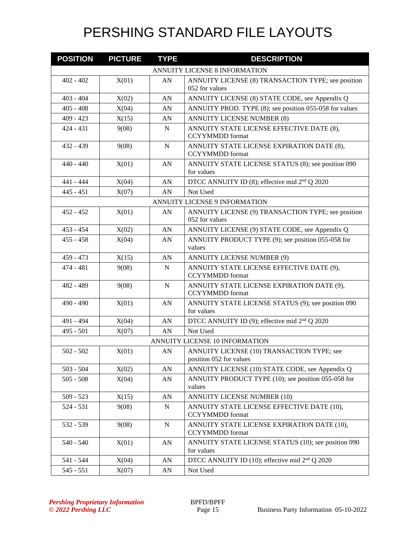| <b>POSITION</b> | <b>PICTURE</b> | <b>TYPE</b> | <b>DESCRIPTION</b>                                                    |
|-----------------|----------------|-------------|-----------------------------------------------------------------------|
|                 |                |             | ANNUITY LICENSE 8 INFORMATION                                         |
| $402 - 402$     | X(01)          | AN          | ANNUITY LICENSE (8) TRANSACTION TYPE; see position<br>052 for values  |
| $403 - 404$     | X(02)          | AN          | ANNUITY LICENSE (8) STATE CODE, see Appendix Q                        |
| $405 - 408$     | X(04)          | AN          | ANNUITY PROD. TYPE (8); see position 055-058 for values               |
| $409 - 423$     | X(15)          | AN          | <b>ANNUITY LICENSE NUMBER (8)</b>                                     |
| $424 - 431$     | 9(08)          | $\mathbf N$ | ANNUITY STATE LICENSE EFFECTIVE DATE (8),<br><b>CCYYMMDD</b> format   |
| $432 - 439$     | 9(08)          | $\mathbf N$ | ANNUITY STATE LICENSE EXPIRATION DATE (8),<br><b>CCYYMMDD</b> format  |
| $440 - 440$     | X(01)          | AN          | ANNUITY STATE LICENSE STATUS (8); see position 090<br>for values      |
| 441 - 444       | X(04)          | AN          | DTCC ANNUITY ID (8); effective mid 2 <sup>nd</sup> Q 2020             |
| $445 - 451$     | X(07)          | AN          | Not Used                                                              |
|                 |                |             | <b>ANNUITY LICENSE 9 INFORMATION</b>                                  |
| $452 - 452$     | X(01)          | AN          | ANNUITY LICENSE (9) TRANSACTION TYPE; see position<br>052 for values  |
| $453 - 454$     | X(02)          | AN          | ANNUITY LICENSE (9) STATE CODE, see Appendix Q                        |
| $455 - 458$     | X(04)          | AN          | ANNUITY PRODUCT TYPE (9); see position 055-058 for<br>values          |
| $459 - 473$     | X(15)          | AN          | <b>ANNUITY LICENSE NUMBER (9)</b>                                     |
| $474 - 481$     | 9(08)          | $\mathbf N$ | ANNUITY STATE LICENSE EFFECTIVE DATE (9),<br><b>CCYYMMDD</b> format   |
| 482 - 489       | 9(08)          | $\mathbf N$ | ANNUITY STATE LICENSE EXPIRATION DATE (9),<br><b>CCYYMMDD</b> format  |
| $490 - 490$     | X(01)          | AN          | ANNUITY STATE LICENSE STATUS (9); see position 090<br>for values      |
| 491 - 494       | X(04)          | AN          | DTCC ANNUITY ID (9); effective mid $2nd Q 2020$                       |
| 495 - 501       | X(07)          | AN          | Not Used                                                              |
|                 |                |             | ANNUITY LICENSE 10 INFORMATION                                        |
| $502 - 502$     | X(01)          | ${\rm AN}$  | ANNUITY LICENSE (10) TRANSACTION TYPE; see<br>position 052 for values |
| $503 - 504$     | X(02)          | AN          | ANNUITY LICENSE (10) STATE CODE, see Appendix Q                       |
| $505 - 508$     | X(04)          | AN          | ANNUITY PRODUCT TYPE (10); see position 055-058 for<br>values         |
| $509 - 523$     | X(15)          | AN          | <b>ANNUITY LICENSE NUMBER (10)</b>                                    |
| 524 - 531       | 9(08)          | N           | ANNUITY STATE LICENSE EFFECTIVE DATE (10),<br><b>CCYYMMDD</b> format  |
| 532 - 539       | 9(08)          | ${\bf N}$   | ANNUITY STATE LICENSE EXPIRATION DATE (10),<br><b>CCYYMMDD</b> format |
| $540 - 540$     | X(01)          | AN          | ANNUITY STATE LICENSE STATUS (10); see position 090<br>for values     |
| 541 - 544       | X(04)          | AN          | DTCC ANNUITY ID (10); effective mid 2 <sup>nd</sup> Q 2020            |
| $545 - 551$     | X(07)          | ${\rm AN}$  | Not Used                                                              |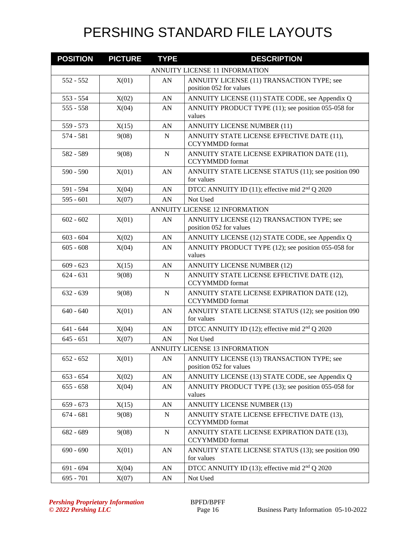| <b>POSITION</b> | <b>PICTURE</b> | <b>TYPE</b> | <b>DESCRIPTION</b>                                                    |
|-----------------|----------------|-------------|-----------------------------------------------------------------------|
|                 |                |             | ANNUITY LICENSE 11 INFORMATION                                        |
| $552 - 552$     | X(01)          | AN          | ANNUITY LICENSE (11) TRANSACTION TYPE; see                            |
|                 |                |             | position 052 for values                                               |
| $553 - 554$     | X(02)          | AN          | ANNUITY LICENSE (11) STATE CODE, see Appendix Q                       |
| $555 - 558$     | X(04)          | ${\rm AN}$  | ANNUITY PRODUCT TYPE (11); see position 055-058 for<br>values         |
| 559 - 573       | X(15)          | AN          | <b>ANNUITY LICENSE NUMBER (11)</b>                                    |
| $574 - 581$     | 9(08)          | $\mathbf N$ | ANNUITY STATE LICENSE EFFECTIVE DATE (11),<br><b>CCYYMMDD</b> format  |
| 582 - 589       | 9(08)          | ${\bf N}$   | ANNUITY STATE LICENSE EXPIRATION DATE (11),<br><b>CCYYMMDD</b> format |
| $590 - 590$     | X(01)          | AN          | ANNUITY STATE LICENSE STATUS (11); see position 090<br>for values     |
| 591 - 594       | X(04)          | AN          | DTCC ANNUITY ID (11); effective mid 2 <sup>nd</sup> Q 2020            |
| $595 - 601$     | X(07)          | AN          | Not Used                                                              |
|                 |                |             | ANNUITY LICENSE 12 INFORMATION                                        |
| $602 - 602$     | X(01)          | AN          | ANNUITY LICENSE (12) TRANSACTION TYPE; see<br>position 052 for values |
| $603 - 604$     | X(02)          | AN          | ANNUITY LICENSE (12) STATE CODE, see Appendix Q                       |
| $605 - 608$     | X(04)          | ${\rm AN}$  | ANNUITY PRODUCT TYPE (12); see position 055-058 for<br>values         |
| $609 - 623$     | X(15)          | AN          | <b>ANNUITY LICENSE NUMBER (12)</b>                                    |
| $624 - 631$     | 9(08)          | $\mathbf N$ | ANNUITY STATE LICENSE EFFECTIVE DATE (12),<br><b>CCYYMMDD</b> format  |
| $632 - 639$     | 9(08)          | $\mathbf N$ | ANNUITY STATE LICENSE EXPIRATION DATE (12),<br><b>CCYYMMDD</b> format |
| $640 - 640$     | X(01)          | AN          | ANNUITY STATE LICENSE STATUS (12); see position 090<br>for values     |
| $641 - 644$     | X(04)          | AN          | DTCC ANNUITY ID (12); effective mid $2nd Q 2020$                      |
| $645 - 651$     | X(07)          | AN          | Not Used                                                              |
|                 |                |             | ANNUITY LICENSE 13 INFORMATION                                        |
| $652 - 652$     | X(01)          | AN          | ANNUITY LICENSE (13) TRANSACTION TYPE; see<br>position 052 for values |
| $653 - 654$     | X(02)          | ${\rm AN}$  | ANNUITY LICENSE (13) STATE CODE, see Appendix Q                       |
| $655 - 658$     | X(04)          | AN          | ANNUITY PRODUCT TYPE (13); see position 055-058 for<br>values         |
| $659 - 673$     | X(15)          | AN          | <b>ANNUITY LICENSE NUMBER (13)</b>                                    |
| $674 - 681$     | 9(08)          | ${\bf N}$   | ANNUITY STATE LICENSE EFFECTIVE DATE (13),<br><b>CCYYMMDD</b> format  |
| 682 - 689       | 9(08)          | N           | ANNUITY STATE LICENSE EXPIRATION DATE (13),<br><b>CCYYMMDD</b> format |
| $690 - 690$     | X(01)          | AN          | ANNUITY STATE LICENSE STATUS (13); see position 090<br>for values     |
| $691 - 694$     | X(04)          | AN          | DTCC ANNUITY ID (13); effective mid $2nd Q 2020$                      |
| $695 - 701$     | X(07)          | AN          | Not Used                                                              |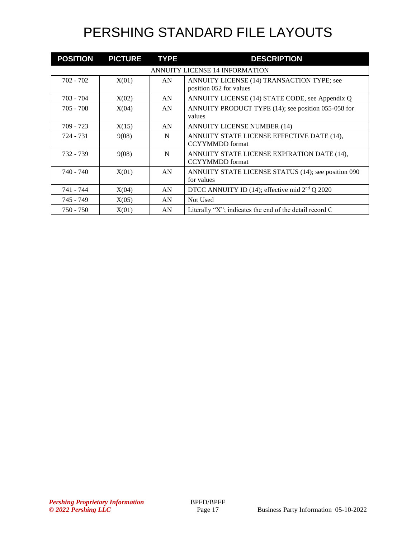| <b>POSITION</b> | <b>PICTURE</b> | <b>TYPE</b> | <b>DESCRIPTION</b>                                                    |
|-----------------|----------------|-------------|-----------------------------------------------------------------------|
|                 |                |             | ANNUITY LICENSE 14 INFORMATION                                        |
| 702 - 702       | X(01)          | AN          | ANNUITY LICENSE (14) TRANSACTION TYPE; see<br>position 052 for values |
| 703 - 704       | X(02)          | AN          | ANNUITY LICENSE (14) STATE CODE, see Appendix Q                       |
| $705 - 708$     | X(04)          | AN          | ANNUITY PRODUCT TYPE (14); see position 055-058 for<br>values         |
| $709 - 723$     | X(15)          | AN          | <b>ANNUITY LICENSE NUMBER (14)</b>                                    |
| 724 - 731       | 9(08)          | N           | ANNUITY STATE LICENSE EFFECTIVE DATE (14),<br><b>CCYYMMDD</b> format  |
| 732 - 739       | 9(08)          | N           | ANNUITY STATE LICENSE EXPIRATION DATE (14),<br><b>CCYYMMDD</b> format |
| 740 - 740       | X(01)          | AN          | ANNUITY STATE LICENSE STATUS (14); see position 090<br>for values     |
| 741 - 744       | X(04)          | AN          | DTCC ANNUITY ID (14); effective mid $2nd Q 2020$                      |
| 745 - 749       | X(05)          | AN          | Not Used                                                              |
| 750 - 750       | X(01)          | AN          | Literally "X"; indicates the end of the detail record C               |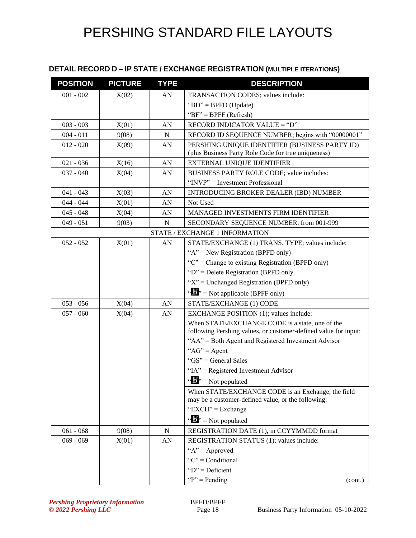### **DETAIL RECORD D – IP STATE / EXCHANGE REGISTRATION (MULTIPLE ITERATIONS)**

| <b>POSITION</b> | <b>PICTURE</b> | <b>TYPE</b> | <b>DESCRIPTION</b>                                                                                                 |
|-----------------|----------------|-------------|--------------------------------------------------------------------------------------------------------------------|
| $001 - 002$     | X(02)          | AN          | TRANSACTION CODES; values include:                                                                                 |
|                 |                |             | "BD" = BPFD (Update)                                                                                               |
|                 |                |             | " $BF" = BPFF (Refresh)$                                                                                           |
| $003 - 003$     | X(01)          | AN          | RECORD INDICATOR VALUE = "D"                                                                                       |
| $004 - 011$     | 9(08)          | N           | RECORD ID SEQUENCE NUMBER; begins with "00000001"                                                                  |
| $012 - 020$     | X(09)          | AN          | PERSHING UNIQUE IDENTIFIER (BUSINESS PARTY ID)<br>(plus Business Party Role Code for true uniqueness)              |
| $021 - 036$     | X(16)          | AN          | EXTERNAL UNIQUE IDENTIFIER                                                                                         |
| $037 - 040$     | X(04)          | AN          | BUSINESS PARTY ROLE CODE; value includes:                                                                          |
|                 |                |             | "INVP" = Investment Professional                                                                                   |
| $041 - 043$     | X(03)          | AN          | <b>INTRODUCING BROKER DEALER (IBD) NUMBER</b>                                                                      |
| $044 - 044$     | X(01)          | AN          | Not Used                                                                                                           |
| $045 - 048$     | X(04)          | AN          | MANAGED INVESTMENTS FIRM IDENTIFIER                                                                                |
| $049 - 051$     | 9(03)          | $\mathbf N$ | SECONDARY SEQUENCE NUMBER, from 001-999                                                                            |
|                 |                |             | STATE / EXCHANGE 1 INFORMATION                                                                                     |
| $052 - 052$     | X(01)          | AN          | STATE/EXCHANGE (1) TRANS. TYPE; values include:                                                                    |
|                 |                |             | " $A$ " = New Registration (BPFD only)                                                                             |
|                 |                |             | " $C$ " = Change to existing Registration (BPFD only)                                                              |
|                 |                |             | " $D$ " = Delete Registration (BPFD only                                                                           |
|                 |                |             | " $X$ " = Unchanged Registration (BPFD only)                                                                       |
|                 |                |             | " $\mathbf{F}$ " = Not applicable (BPFF only)                                                                      |
| $053 - 056$     | X(04)          | AN          | STATE/EXCHANGE (1) CODE                                                                                            |
| $057 - 060$     | X(04)          | AN          | EXCHANGE POSITION (1); values include:                                                                             |
|                 |                |             | When STATE/EXCHANGE CODE is a state, one of the<br>following Pershing values, or customer-defined value for input: |
|                 |                |             | "AA" = Both Agent and Registered Investment Advisor                                                                |
|                 |                |             | " $AG$ " = Agent                                                                                                   |
|                 |                |             | "GS" = General Sales                                                                                               |
|                 |                |             | "IA" = Registered Investment Advisor                                                                               |
|                 |                |             | $\mathbf{w}$ $\mathbf{w}$ = Not populated                                                                          |
|                 |                |             | When STATE/EXCHANGE CODE is an Exchange, the field                                                                 |
|                 |                |             | may be a customer-defined value, or the following:                                                                 |
|                 |                |             | "EXCH" = Exchange                                                                                                  |
|                 |                |             | $\mathbf{B}^{\prime\prime}$ = Not populated                                                                        |
| $061 - 068$     | 9(08)          | ${\bf N}$   | REGISTRATION DATE (1), in CCYYMMDD format                                                                          |
| $069 - 069$     | X(01)          | AN          | REGISTRATION STATUS (1); values include:                                                                           |
|                 |                |             | " $A$ " = Approved                                                                                                 |
|                 |                |             | " $C$ " = Conditional                                                                                              |
|                 |                |             | " $D$ " = Deficient                                                                                                |
|                 |                |             | " $P$ " = Pending<br>(cont.)                                                                                       |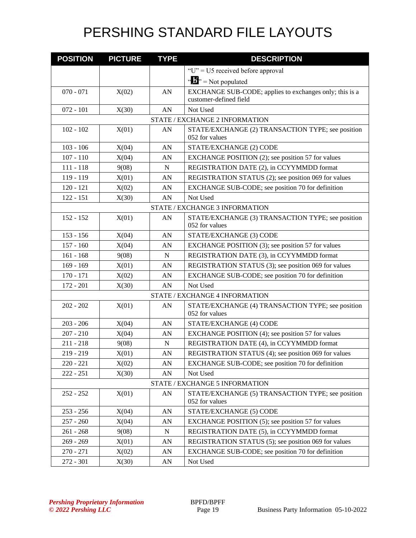| <b>POSITION</b> | <b>PICTURE</b> | <b>TYPE</b> | <b>DESCRIPTION</b>                                                  |
|-----------------|----------------|-------------|---------------------------------------------------------------------|
|                 |                |             | "U" = U5 received before approval                                   |
|                 |                |             | $\mathbf{B}^{\prime\prime}$ = Not populated                         |
| $070 - 071$     | X(02)          | AN          | EXCHANGE SUB-CODE; applies to exchanges only; this is a             |
|                 |                |             | customer-defined field                                              |
| $072 - 101$     | X(30)          | AN          | Not Used                                                            |
|                 |                |             | STATE / EXCHANGE 2 INFORMATION                                      |
| $102 - 102$     | X(01)          | AN          | STATE/EXCHANGE (2) TRANSACTION TYPE; see position<br>052 for values |
| $103 - 106$     | X(04)          | AN          | STATE/EXCHANGE (2) CODE                                             |
| $107 - 110$     | X(04)          | AN          | EXCHANGE POSITION (2); see position 57 for values                   |
| $111 - 118$     | 9(08)          | N           | REGISTRATION DATE (2), in CCYYMMDD format                           |
| 119 - 119       | X(01)          | AN          | REGISTRATION STATUS (2); see position 069 for values                |
| $120 - 121$     | X(02)          | AN          | EXCHANGE SUB-CODE; see position 70 for definition                   |
| $122 - 151$     | X(30)          | AN          | Not Used                                                            |
|                 |                |             | STATE / EXCHANGE 3 INFORMATION                                      |
| $152 - 152$     | X(01)          | ${\rm AN}$  | STATE/EXCHANGE (3) TRANSACTION TYPE; see position<br>052 for values |
| $153 - 156$     | X(04)          | AN          | STATE/EXCHANGE (3) CODE                                             |
| $157 - 160$     | X(04)          | AN          | EXCHANGE POSITION (3); see position 57 for values                   |
| $161 - 168$     | 9(08)          | N           | REGISTRATION DATE (3), in CCYYMMDD format                           |
| $169 - 169$     | X(01)          | AN          | REGISTRATION STATUS (3); see position 069 for values                |
| $170 - 171$     | X(02)          | AN          | EXCHANGE SUB-CODE; see position 70 for definition                   |
| $172 - 201$     | X(30)          | AN          | Not Used                                                            |
|                 |                |             | STATE / EXCHANGE 4 INFORMATION                                      |
| $202 - 202$     | X(01)          | AN          | STATE/EXCHANGE (4) TRANSACTION TYPE; see position<br>052 for values |
| $203 - 206$     | X(04)          | AN          | STATE/EXCHANGE (4) CODE                                             |
| $207 - 210$     | X(04)          | AN          | EXCHANGE POSITION (4); see position 57 for values                   |
| $211 - 218$     | 9(08)          | N           | REGISTRATION DATE (4), in CCYYMMDD format                           |
| $219 - 219$     | X(01)          | AN          | REGISTRATION STATUS (4); see position 069 for values                |
| $220 - 221$     | X(02)          | AN          | EXCHANGE SUB-CODE; see position 70 for definition                   |
| $222 - 251$     | X(30)          | ${\rm AN}$  | Not Used                                                            |
|                 |                |             | STATE / EXCHANGE 5 INFORMATION                                      |
| $252 - 252$     | X(01)          | ${\rm AN}$  | STATE/EXCHANGE (5) TRANSACTION TYPE; see position<br>052 for values |
| $253 - 256$     | X(04)          | AN          | STATE/EXCHANGE (5) CODE                                             |
| $257 - 260$     | X(04)          | ${\rm AN}$  | EXCHANGE POSITION (5); see position 57 for values                   |
| $261 - 268$     | 9(08)          | ${\bf N}$   | REGISTRATION DATE (5), in CCYYMMDD format                           |
| $269 - 269$     | X(01)          | ${\rm AN}$  | REGISTRATION STATUS (5); see position 069 for values                |
| $270 - 271$     | X(02)          | AN          | EXCHANGE SUB-CODE; see position 70 for definition                   |
| 272 - 301       | X(30)          | ${\rm AN}$  | Not Used                                                            |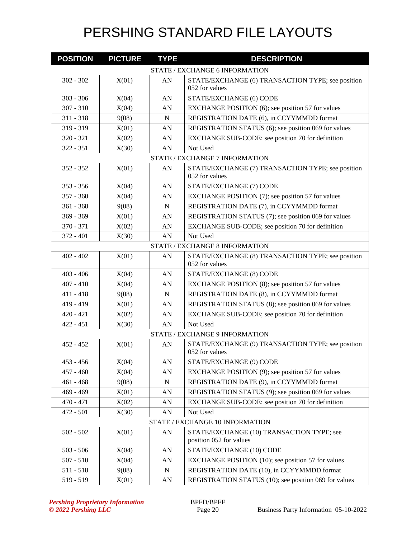| <b>POSITION</b> | <b>PICTURE</b> | <b>TYPE</b> | <b>DESCRIPTION</b>                                                   |
|-----------------|----------------|-------------|----------------------------------------------------------------------|
|                 |                |             | STATE / EXCHANGE 6 INFORMATION                                       |
| $302 - 302$     | X(01)          | AN          | STATE/EXCHANGE (6) TRANSACTION TYPE; see position                    |
|                 |                |             | 052 for values                                                       |
| $303 - 306$     | X(04)          | AN          | STATE/EXCHANGE (6) CODE                                              |
| $307 - 310$     | X(04)          | AN          | EXCHANGE POSITION (6); see position 57 for values                    |
| $311 - 318$     | 9(08)          | N           | REGISTRATION DATE (6), in CCYYMMDD format                            |
| 319 - 319       | X(01)          | AN          | REGISTRATION STATUS (6); see position 069 for values                 |
| $320 - 321$     | X(02)          | AN          | EXCHANGE SUB-CODE; see position 70 for definition                    |
| $322 - 351$     | X(30)          | AN          | Not Used                                                             |
|                 |                |             | STATE / EXCHANGE 7 INFORMATION                                       |
| $352 - 352$     | X(01)          | ${\rm AN}$  | STATE/EXCHANGE (7) TRANSACTION TYPE; see position<br>052 for values  |
| $353 - 356$     | X(04)          | AN          | STATE/EXCHANGE (7) CODE                                              |
| $357 - 360$     | X(04)          | AN          | EXCHANGE POSITION (7); see position 57 for values                    |
| $361 - 368$     | 9(08)          | $\mathbf N$ | REGISTRATION DATE (7), in CCYYMMDD format                            |
| $369 - 369$     | X(01)          | AN          | REGISTRATION STATUS (7); see position 069 for values                 |
| 370 - 371       | X(02)          | AN          | EXCHANGE SUB-CODE; see position 70 for definition                    |
| $372 - 401$     | X(30)          | AN          | Not Used                                                             |
|                 |                |             | STATE / EXCHANGE 8 INFORMATION                                       |
| $402 - 402$     | X(01)          | AN          | STATE/EXCHANGE (8) TRANSACTION TYPE; see position<br>052 for values  |
| $403 - 406$     | X(04)          | AN          | STATE/EXCHANGE (8) CODE                                              |
| $407 - 410$     | X(04)          | AN          | EXCHANGE POSITION (8); see position 57 for values                    |
| $411 - 418$     | 9(08)          | $\mathbf N$ | REGISTRATION DATE (8), in CCYYMMDD format                            |
| 419 - 419       | X(01)          | AN          | REGISTRATION STATUS (8); see position 069 for values                 |
| $420 - 421$     | X(02)          | AN          | EXCHANGE SUB-CODE; see position 70 for definition                    |
| $422 - 451$     | X(30)          | AN          | Not Used                                                             |
|                 |                |             | STATE / EXCHANGE 9 INFORMATION                                       |
| $452 - 452$     | X(01)          | AN          | STATE/EXCHANGE (9) TRANSACTION TYPE; see position<br>052 for values  |
| $453 - 456$     | X(04)          | ${\rm AN}$  | STATE/EXCHANGE (9) CODE                                              |
| $457 - 460$     | X(04)          | ${\rm AN}$  | EXCHANGE POSITION (9); see position 57 for values                    |
| $461 - 468$     | 9(08)          | ${\bf N}$   | REGISTRATION DATE (9), in CCYYMMDD format                            |
| $469 - 469$     | X(01)          | AN          | REGISTRATION STATUS (9); see position 069 for values                 |
| $470 - 471$     | X(02)          | ${\rm AN}$  | EXCHANGE SUB-CODE; see position 70 for definition                    |
| 472 - 501       | X(30)          | ${\rm AN}$  | Not Used                                                             |
|                 |                |             | STATE / EXCHANGE 10 INFORMATION                                      |
| $502 - 502$     | X(01)          | AN          | STATE/EXCHANGE (10) TRANSACTION TYPE; see<br>position 052 for values |
| $503 - 506$     | X(04)          | ${\rm AN}$  | STATE/EXCHANGE (10) CODE                                             |
| $507 - 510$     | X(04)          | AN          | EXCHANGE POSITION (10); see position 57 for values                   |
| $511 - 518$     | 9(08)          | ${\bf N}$   | REGISTRATION DATE (10), in CCYYMMDD format                           |
| 519 - 519       | X(01)          | ${\rm AN}$  | REGISTRATION STATUS (10); see position 069 for values                |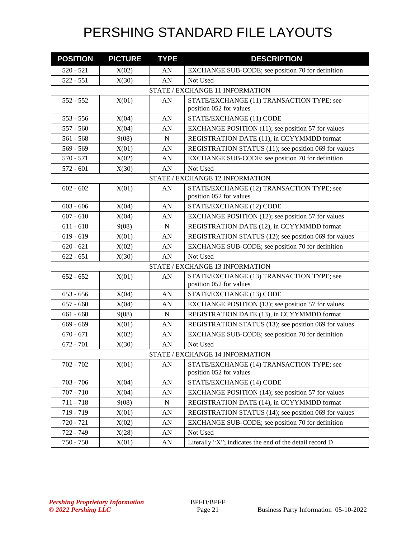| <b>POSITION</b> | <b>PICTURE</b> | <b>TYPE</b> | <b>DESCRIPTION</b>                                                   |
|-----------------|----------------|-------------|----------------------------------------------------------------------|
| $520 - 521$     | X(02)          | AN          | EXCHANGE SUB-CODE; see position 70 for definition                    |
| $522 - 551$     | X(30)          | AN          | Not Used                                                             |
|                 |                |             | STATE / EXCHANGE 11 INFORMATION                                      |
| $552 - 552$     | X(01)          | AN          | STATE/EXCHANGE (11) TRANSACTION TYPE; see                            |
|                 |                |             | position 052 for values                                              |
| $553 - 556$     | X(04)          | AN          | STATE/EXCHANGE (11) CODE                                             |
| $557 - 560$     | X(04)          | AN          | EXCHANGE POSITION (11); see position 57 for values                   |
| $561 - 568$     | 9(08)          | N           | REGISTRATION DATE (11), in CCYYMMDD format                           |
| 569 - 569       | X(01)          | AN          | REGISTRATION STATUS (11); see position 069 for values                |
| $570 - 571$     | X(02)          | AN          | EXCHANGE SUB-CODE; see position 70 for definition                    |
| $572 - 601$     | X(30)          | AN          | Not Used                                                             |
|                 |                |             | STATE / EXCHANGE 12 INFORMATION                                      |
| $602 - 602$     | X(01)          | AN          | STATE/EXCHANGE (12) TRANSACTION TYPE; see<br>position 052 for values |
| $603 - 606$     | X(04)          | AN          | STATE/EXCHANGE (12) CODE                                             |
| $607 - 610$     | X(04)          | AN          | EXCHANGE POSITION (12); see position 57 for values                   |
| $611 - 618$     | 9(08)          | $\mathbf N$ | REGISTRATION DATE (12), in CCYYMMDD format                           |
| $619 - 619$     | X(01)          | AN          | REGISTRATION STATUS (12); see position 069 for values                |
| $620 - 621$     | X(02)          | AN          | EXCHANGE SUB-CODE; see position 70 for definition                    |
| $622 - 651$     | X(30)          | AN          | Not Used                                                             |
|                 |                |             | STATE / EXCHANGE 13 INFORMATION                                      |
| $652 - 652$     | X(01)          | AN          | STATE/EXCHANGE (13) TRANSACTION TYPE; see<br>position 052 for values |
| $653 - 656$     | X(04)          | AN          | STATE/EXCHANGE (13) CODE                                             |
| $657 - 660$     | X(04)          | AN          | EXCHANGE POSITION (13); see position 57 for values                   |
| $661 - 668$     | 9(08)          | N           | REGISTRATION DATE (13), in CCYYMMDD format                           |
| $669 - 669$     | X(01)          | AN          | REGISTRATION STATUS (13); see position 069 for values                |
| $670 - 671$     | X(02)          | AN          | EXCHANGE SUB-CODE; see position 70 for definition                    |
| $672 - 701$     | X(30)          | AN          | Not Used                                                             |
|                 |                |             | STATE / EXCHANGE 14 INFORMATION                                      |
| 702 - 702       | X(01)          | AN          | STATE/EXCHANGE (14) TRANSACTION TYPE; see<br>position 052 for values |
| 703 - 706       | X(04)          | AN          | STATE/EXCHANGE (14) CODE                                             |
| $707 - 710$     | X(04)          | AN          | EXCHANGE POSITION (14); see position 57 for values                   |
| 711 - 718       | 9(08)          | ${\bf N}$   | REGISTRATION DATE (14), in CCYYMMDD format                           |
| 719 - 719       | X(01)          | AN          | REGISTRATION STATUS (14); see position 069 for values                |
| 720 - 721       | X(02)          | AN          | EXCHANGE SUB-CODE; see position 70 for definition                    |
| 722 - 749       | X(28)          | AN          | Not Used                                                             |
| 750 - 750       | X(01)          | ${\rm AN}$  | Literally "X"; indicates the end of the detail record D              |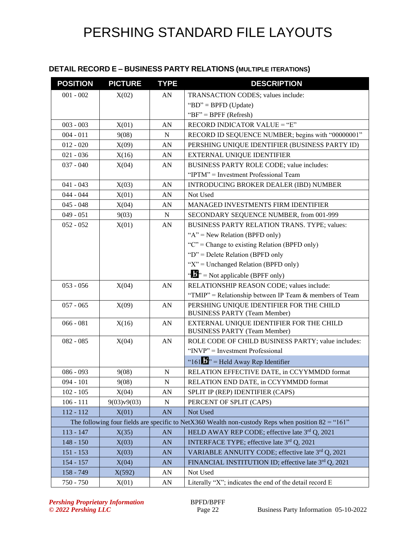### **DETAIL RECORD E – BUSINESS PARTY RELATIONS (MULTIPLE ITERATIONS)**

| <b>POSITION</b> | <b>PICTURE</b> | <b>TYPE</b> | <b>DESCRIPTION</b>                                                                                   |
|-----------------|----------------|-------------|------------------------------------------------------------------------------------------------------|
| $001 - 002$     | X(02)          | AN          | TRANSACTION CODES; values include:                                                                   |
|                 |                |             | "BD" = BPFD (Update)                                                                                 |
|                 |                |             | " $BF" = BPFF (Refresh)$                                                                             |
| $003 - 003$     | X(01)          | AN          | RECORD INDICATOR VALUE = "E"                                                                         |
| $004 - 011$     | 9(08)          | $\mathbf N$ | RECORD ID SEQUENCE NUMBER; begins with "00000001"                                                    |
| $012 - 020$     | X(09)          | AN          | PERSHING UNIQUE IDENTIFIER (BUSINESS PARTY ID)                                                       |
| $021 - 036$     | X(16)          | AN          | <b>EXTERNAL UNIQUE IDENTIFIER</b>                                                                    |
| $037 - 040$     | X(04)          | AN          | BUSINESS PARTY ROLE CODE; value includes:                                                            |
|                 |                |             | "IPTM" = Investment Professional Team                                                                |
| $041 - 043$     | X(03)          | AN          | INTRODUCING BROKER DEALER (IBD) NUMBER                                                               |
| $044 - 044$     | X(01)          | AN          | Not Used                                                                                             |
| $045 - 048$     | X(04)          | AN          | MANAGED INVESTMENTS FIRM IDENTIFIER                                                                  |
| $049 - 051$     | 9(03)          | $\mathbf N$ | SECONDARY SEQUENCE NUMBER, from 001-999                                                              |
| $052 - 052$     | X(01)          | AN          | BUSINESS PARTY RELATION TRANS. TYPE; values:                                                         |
|                 |                |             | " $A$ " = New Relation (BPFD only)                                                                   |
|                 |                |             | " $C$ " = Change to existing Relation (BPFD only)                                                    |
|                 |                |             | " $D$ " = Delete Relation (BPFD only                                                                 |
|                 |                |             | " $X$ " = Unchanged Relation (BPFD only)                                                             |
|                 |                |             | $\mathbf{B}^{\prime\prime}$ = Not applicable (BPFF only)                                             |
| $053 - 056$     | X(04)          | AN          | RELATIONSHIP REASON CODE; values include:                                                            |
|                 |                |             | "TMIP" = Relationship between IP Team $&$ members of Team                                            |
| $057 - 065$     | X(09)          | AN          | PERSHING UNIQUE IDENTIFIER FOR THE CHILD<br><b>BUSINESS PARTY (Team Member)</b>                      |
| $066 - 081$     | X(16)          | AN          | EXTERNAL UNIQUE IDENTIFIER FOR THE CHILD                                                             |
|                 |                |             | <b>BUSINESS PARTY (Team Member)</b>                                                                  |
| $082 - 085$     | X(04)          | AN          | ROLE CODE OF CHILD BUSINESS PARTY; value includes:                                                   |
|                 |                |             | "INVP" = Investment Professional                                                                     |
|                 |                |             | "161. $\mathbf{B}$ " = Held Away Rep Identifier                                                      |
| $086 - 093$     | 9(08)          | ${\bf N}$   | RELATION EFFECTIVE DATE, in CCYYMMDD format                                                          |
| $094 - 101$     | 9(08)          | ${\bf N}$   | RELATION END DATE, in CCYYMMDD format                                                                |
| $102 - 105$     | X(04)          | AN          | SPLIT IP (REP) IDENTIFIER (CAPS)                                                                     |
| $106 - 111$     | 9(03)v9(03)    | $\mathbf N$ | PERCENT OF SPLIT (CAPS)                                                                              |
| $112 - 112$     | X(01)          | AN          | Not Used                                                                                             |
|                 |                |             | The following four fields are specific to NetX360 Wealth non-custody Reps when position $82 =$ "161" |
| $113 - 147$     | X(35)          | AN          | HELD AWAY REP CODE; effective late 3rd Q, 2021                                                       |
| $148 - 150$     | X(03)          | AN          | INTERFACE TYPE; effective late 3rd Q, 2021                                                           |
| $151 - 153$     | X(03)          | AN          | VARIABLE ANNUITY CODE; effective late 3rd Q, 2021                                                    |
| $154 - 157$     | X(04)          | AN          | FINANCIAL INSTITUTION ID; effective late 3rd Q, 2021                                                 |
| 158 - 749       | X(592)         | AN          | Not Used                                                                                             |
| 750 - 750       | X(01)          | AN          | Literally "X"; indicates the end of the detail record E                                              |

**Pershing Proprietary Information** BPFD/BPFF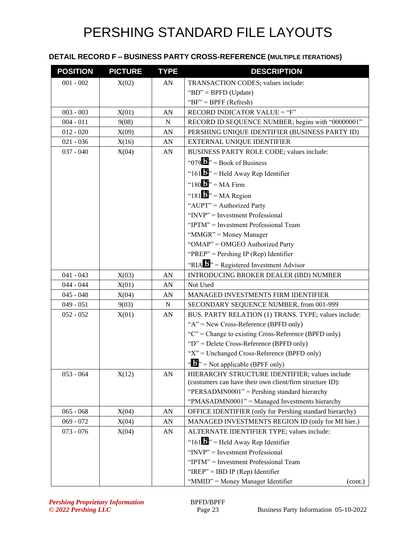### **DETAIL RECORD F – BUSINESS PARTY CROSS-REFERENCE (MULTIPLE ITERATIONS)**

| <b>POSITION</b> | <b>PICTURE</b> | <b>TYPE</b> | <b>DESCRIPTION</b>                                       |
|-----------------|----------------|-------------|----------------------------------------------------------|
| $001 - 002$     | X(02)          | AN          | TRANSACTION CODES; values include:                       |
|                 |                |             | "BD" = BPFD (Update)                                     |
|                 |                |             | " $BF$ " = BPFF (Refresh)                                |
| $003 - 003$     | X(01)          | AN          | RECORD INDICATOR VALUE = "F"                             |
| $004 - 011$     | 9(08)          | N           | RECORD ID SEQUENCE NUMBER; begins with "00000001"        |
| $012 - 020$     | X(09)          | AN          | PERSHING UNIQUE IDENTIFIER (BUSINESS PARTY ID)           |
| $021 - 036$     | X(16)          | AN          | EXTERNAL UNIQUE IDENTIFIER                               |
| $037 - 040$     | X(04)          | AN          | BUSINESS PARTY ROLE CODE; values include:                |
|                 |                |             | " $079$ " = Book of Business                             |
|                 |                |             | "161 $\mathbf{B}$ " = Held Away Rep Identifier           |
|                 |                |             | "180 $\mathbf{J}$ " = MA Firm                            |
|                 |                |             | "181 $\mathbf{B}$ " = MA Region                          |
|                 |                |             | "AUPT" = Authorized Party                                |
|                 |                |             | "INVP" = Investment Professional                         |
|                 |                |             | "IPTM" = Investment Professional Team                    |
|                 |                |             | "MMGR" = Money Manager                                   |
|                 |                |             | "OMAP" = OMGEO Authorized Party                          |
|                 |                |             | "PREP" = Pershing IP (Rep) Identifier                    |
|                 |                |             | "RIA $\mathbf{B}$ " = Registered Investment Advisor      |
| $041 - 043$     | X(03)          | AN          | INTRODUCING BROKER DEALER (IBD) NUMBER                   |
| $044 - 044$     | X(01)          | AN          | Not Used                                                 |
| $045 - 048$     | X(04)          | AN          | MANAGED INVESTMENTS FIRM IDENTIFIER                      |
| $049 - 051$     | 9(03)          | ${\bf N}$   | SECONDARY SEQUENCE NUMBER, from 001-999                  |
| $052 - 052$     | X(01)          | AN          | BUS. PARTY RELATION (1) TRANS. TYPE; values include:     |
|                 |                |             | " $A$ " = New Cross-Reference (BPFD only)                |
|                 |                |             | " $C$ " = Change to existing Cross-Reference (BPFD only) |
|                 |                |             | "D" = Delete Cross-Reference (BPFD only)                 |
|                 |                |             | "X" = Unchanged Cross-Reference (BPFD only)              |
|                 |                |             | $\mathcal{L}$ > = Not applicable (BPFF only)             |
| $053 - 064$     | X(12)          | AN          | HIERARCHY STRUCTURE IDENTIFIER; values include           |
|                 |                |             | (customers can have their own client/firm structure ID): |
|                 |                |             | "PERSADMN0001" = Pershing standard hierarchy             |
|                 |                |             | "PMASADMN0001" = Managed Investments hierarchy           |
| $065 - 068$     | X(04)          | AN          | OFFICE IDENTIFIER (only for Pershing standard hierarchy) |
| $069 - 072$     | X(04)          | AN          | MANAGED INVESTMENTS REGION ID (only for MI hier.)        |
| $073 - 076$     | X(04)          | AN          | ALTERNATE IDENTIFIER TYPE; values include:               |
|                 |                |             | "161 $\mathbf{B}$ " = Held Away Rep Identifier           |
|                 |                |             | "INVP" = Investment Professional                         |
|                 |                |             | "IPTM" = Investment Professional Team                    |
|                 |                |             | "IREP" = IBD IP (Rep) Identifier                         |
|                 |                |             | "MMID" = Money Manager Identifier<br>(cont.)             |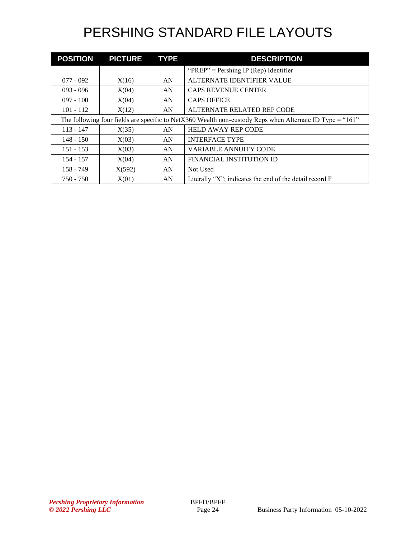| <b>POSITION</b>                                                                                          | <b>PICTURE</b> | <b>TYPE</b> | <b>DESCRIPTION</b>                                      |  |
|----------------------------------------------------------------------------------------------------------|----------------|-------------|---------------------------------------------------------|--|
|                                                                                                          |                |             | " $PREF" = Pershing IP (Rep) Identifier$                |  |
| $077 - 092$                                                                                              | X(16)          | AN          | ALTERNATE IDENTIFIER VALUE                              |  |
| $093 - 096$                                                                                              | X(04)          | AN          | <b>CAPS REVENUE CENTER</b>                              |  |
| $097 - 100$                                                                                              | X(04)          | AN          | <b>CAPS OFFICE</b>                                      |  |
| $101 - 112$                                                                                              | X(12)          | AN          | ALTERNATE RELATED REP CODE                              |  |
| The following four fields are specific to NetX360 Wealth non-custody Reps when Alternate ID Type = "161" |                |             |                                                         |  |
| $113 - 147$                                                                                              | X(35)          | AN          | <b>HELD AWAY REP CODE</b>                               |  |
| $148 - 150$                                                                                              | X(03)          | AN          | <b>INTERFACE TYPE</b>                                   |  |
| $151 - 153$                                                                                              | X(03)          | AN          | <b>VARIABLE ANNUITY CODE</b>                            |  |
| $154 - 157$                                                                                              | X(04)          | AN          | FINANCIAL INSTITUTION ID                                |  |
| $158 - 749$                                                                                              | X(592)         | AN          | Not Used                                                |  |
| $750 - 750$                                                                                              | X(01)          | AN          | Literally "X"; indicates the end of the detail record F |  |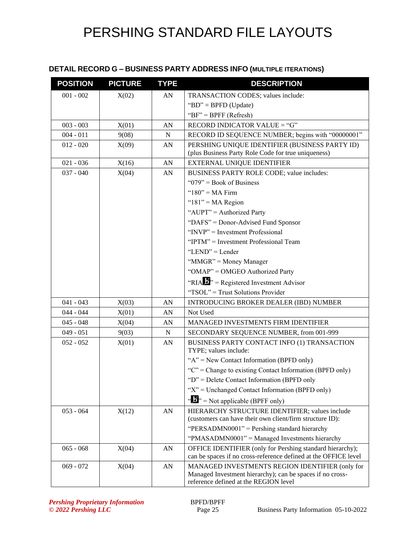### **DETAIL RECORD G – BUSINESS PARTY ADDRESS INFO (MULTIPLE ITERATIONS)**

| <b>POSITION</b> | <b>PICTURE</b> | <b>TYPE</b> | <b>DESCRIPTION</b>                                                                                                                                    |
|-----------------|----------------|-------------|-------------------------------------------------------------------------------------------------------------------------------------------------------|
| $001 - 002$     | X(02)          | AN          | TRANSACTION CODES; values include:                                                                                                                    |
|                 |                |             | "BD" = BPFD (Update)                                                                                                                                  |
|                 |                |             | " $BF$ " = BPFF (Refresh)                                                                                                                             |
| $003 - 003$     | X(01)          | AN          | RECORD INDICATOR VALUE = "G"                                                                                                                          |
| $004 - 011$     | 9(08)          | ${\bf N}$   | RECORD ID SEQUENCE NUMBER; begins with "00000001"                                                                                                     |
| $012 - 020$     | X(09)          | AN          | PERSHING UNIQUE IDENTIFIER (BUSINESS PARTY ID)<br>(plus Business Party Role Code for true uniqueness)                                                 |
| $021 - 036$     | X(16)          | AN          | EXTERNAL UNIQUE IDENTIFIER                                                                                                                            |
| $037 - 040$     | X(04)          | AN          | BUSINESS PARTY ROLE CODE; value includes:                                                                                                             |
|                 |                |             | " $079$ " = Book of Business                                                                                                                          |
|                 |                |             | " $180"$ = MA Firm                                                                                                                                    |
|                 |                |             | " $181"$ = MA Region                                                                                                                                  |
|                 |                |             | "AUPT" = Authorized Party                                                                                                                             |
|                 |                |             | "DAFS" = Donor-Advised Fund Sponsor                                                                                                                   |
|                 |                |             | " $INVP"$ = Investment Professional                                                                                                                   |
|                 |                |             | "IPTM" = Investment Professional Team                                                                                                                 |
|                 |                |             | "LEND" = Lender                                                                                                                                       |
|                 |                |             | "MMGR" = Money Manager                                                                                                                                |
|                 |                |             | "OMAP" = OMGEO Authorized Party                                                                                                                       |
|                 |                |             | "RIA $\mathbf{H}$ " = Registered Investment Advisor                                                                                                   |
|                 |                |             | "TSOL" = Trust Solutions Provider                                                                                                                     |
| $041 - 043$     | X(03)          | AN          | INTRODUCING BROKER DEALER (IBD) NUMBER                                                                                                                |
| $044 - 044$     | X(01)          | AN          | Not Used                                                                                                                                              |
| $045 - 048$     | X(04)          | AN          | MANAGED INVESTMENTS FIRM IDENTIFIER                                                                                                                   |
| $049 - 051$     | 9(03)          | ${\bf N}$   | SECONDARY SEQUENCE NUMBER, from 001-999                                                                                                               |
| $052 - 052$     | X(01)          | AN          | BUSINESS PARTY CONTACT INFO (1) TRANSACTION<br>TYPE; values include:                                                                                  |
|                 |                |             | " $A$ " = New Contact Information (BPFD only)                                                                                                         |
|                 |                |             | " $C$ " = Change to existing Contact Information (BPFD only)                                                                                          |
|                 |                |             | " $D$ " = Delete Contact Information (BPFD only                                                                                                       |
|                 |                |             | " $X$ " = Unchanged Contact Information (BPFD only)                                                                                                   |
|                 |                |             | $\mathbf{A}^{\prime\prime}$ = Not applicable (BPFF only)                                                                                              |
| $053 - 064$     | X(12)          | AN          | HIERARCHY STRUCTURE IDENTIFIER; values include<br>(customers can have their own client/firm structure ID):                                            |
|                 |                |             | "PERSADMN0001" = Pershing standard hierarchy                                                                                                          |
|                 |                |             | "PMASADMN0001" = Managed Investments hierarchy                                                                                                        |
| $065 - 068$     | X(04)          | AN          | OFFICE IDENTIFIER (only for Pershing standard hierarchy);                                                                                             |
|                 |                |             | can be spaces if no cross-reference defined at the OFFICE level                                                                                       |
| $069 - 072$     | X(04)          | AN          | MANAGED INVESTMENTS REGION IDENTIFIER (only for<br>Managed Investment hierarchy); can be spaces if no cross-<br>reference defined at the REGION level |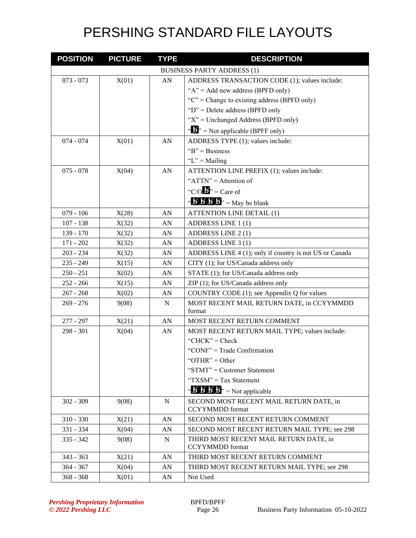| <b>POSITION</b>            | <b>PICTURE</b> | <b>TYPE</b>     | <b>DESCRIPTION</b>                                                  |
|----------------------------|----------------|-----------------|---------------------------------------------------------------------|
|                            |                |                 | <b>BUSINESS PARTY ADDRESS (1)</b>                                   |
| $073 - 073$                | X(01)          | AN              | ADDRESS TRANSACTION CODE (1); values include:                       |
|                            |                |                 | " $A$ " = Add new address (BPFD only)                               |
|                            |                |                 | " $C$ " = Change to existing address (BPFD only)                    |
|                            |                |                 | " $D$ " = Delete address (BPFD only                                 |
|                            |                |                 | " $X$ " = Unchanged Address (BPFD only)                             |
|                            |                |                 | $\mathbf{a}^{\mathbf{b}}$ = Not applicable (BPFF only)              |
| $074 - 074$                | X(01)          | ${\rm AN}$      | ADDRESS TYPE (1); values include:                                   |
|                            |                |                 | " $B$ " = Business"                                                 |
|                            |                |                 | " $L$ " = Mailing                                                   |
| $075 - 078$                | X(04)          | ${\rm AN}$      | ATTENTION LINE PREFIX (1); values include:                          |
|                            |                |                 | " $ATTN" =$ Attention of                                            |
|                            |                |                 | "C/O $\mathbf{B}$ " = Care of                                       |
|                            |                |                 | " $\mathbf{B} \mathbf{B} \mathbf{B}'$ $\mathbf{B}$ " = May be blank |
| $079 - 106$                | X(28)          | AN              | <b>ATTENTION LINE DETAIL (1)</b>                                    |
| $107 - 138$                | X(32)          | AN              | ADDRESS LINE 1(1)                                                   |
| $139 - 170$                | X(32)          | AN              | ADDRESS LINE 2(1)                                                   |
| $171 - 202$                | X(32)          | AN              | ADDRESS LINE 3 (1)                                                  |
| $203 - 234$                | X(32)          | AN              | ADDRESS LINE 4 (1); only if country is not US or Canada             |
| $235 - 249$                | X(15)          | AN              | CITY (1); for US/Canada address only                                |
| $250 - 251$                |                | AN              | STATE (1); for US/Canada address only                               |
| $252 - 266$                | X(02)<br>X(15) | AN              | ZIP (1); for US/Canada address only                                 |
|                            |                |                 |                                                                     |
| $267 - 268$<br>$269 - 276$ | X(02)          | AN<br>${\bf N}$ | COUNTRY CODE (1); see Appendix Q for values                         |
|                            | 9(08)          |                 | MOST RECENT MAIL RETURN DATE, in CCYYMMDD<br>format                 |
| 277 - 297                  | X(21)          | AN              | MOST RECENT RETURN COMMENT                                          |
| 298 - 301                  | X(04)          | AN              | MOST RECENT RETURN MAIL TYPE; values include:                       |
|                            |                |                 | "CHCK" = $Check$                                                    |
|                            |                |                 | "CONF" = Trade Confirmation                                         |
|                            |                |                 | "OTHR" = Other                                                      |
|                            |                |                 | "STMT" = Customer Statement                                         |
|                            |                |                 | "TXSM" = Tax Statement                                              |
|                            |                |                 | " $\mathbf{B} \mathbf{B} \mathbf{B}$ " = Not applicable             |
| $302 - 309$                | 9(08)          | $\mathbf N$     | SECOND MOST RECENT MAIL RETURN DATE, in                             |
|                            |                |                 | <b>CCYYMMDD</b> format                                              |
| $310 - 330$                | X(21)          | AN              | SECOND MOST RECENT RETURN COMMENT                                   |
| 331 - 334                  | X(04)          | AN              | SECOND MOST RECENT RETURN MAIL TYPE; see 298                        |
| $335 - 342$                | 9(08)          | N               | THIRD MOST RECENT MAIL RETURN DATE, in                              |
|                            |                |                 | <b>CCYYMMDD</b> format                                              |
| $343 - 363$                | X(21)          | AN              | THIRD MOST RECENT RETURN COMMENT                                    |
| $364 - 367$                | X(04)          | AN              | THIRD MOST RECENT RETURN MAIL TYPE; see 298                         |
| $368 - 368$                | X(01)          | AN              | Not Used                                                            |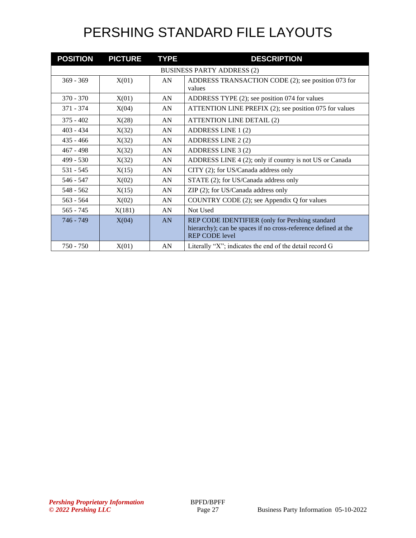| <b>POSITION</b> | <b>PICTURE</b> | <b>TYPE</b> | <b>DESCRIPTION</b>                                                                                                                         |
|-----------------|----------------|-------------|--------------------------------------------------------------------------------------------------------------------------------------------|
|                 |                |             | <b>BUSINESS PARTY ADDRESS (2)</b>                                                                                                          |
| $369 - 369$     | X(01)          | AN          | ADDRESS TRANSACTION CODE (2); see position 073 for<br>values                                                                               |
| $370 - 370$     | X(01)          | AN          | ADDRESS TYPE (2); see position 074 for values                                                                                              |
| $371 - 374$     | X(04)          | AN          | ATTENTION LINE PREFIX (2); see position 075 for values                                                                                     |
| $375 - 402$     | X(28)          | AN          | <b>ATTENTION LINE DETAIL (2)</b>                                                                                                           |
| $403 - 434$     | X(32)          | AN          | ADDRESS LINE 1 (2)                                                                                                                         |
| $435 - 466$     | X(32)          | AN          | ADDRESS LINE 2 (2)                                                                                                                         |
| $467 - 498$     | X(32)          | AN          | ADDRESS LINE 3 (2)                                                                                                                         |
| $499 - 530$     | X(32)          | AN          | ADDRESS LINE 4 (2); only if country is not US or Canada                                                                                    |
| $531 - 545$     | X(15)          | AN          | CITY (2); for US/Canada address only                                                                                                       |
| $546 - 547$     | X(02)          | AN          | STATE (2); for US/Canada address only                                                                                                      |
| $548 - 562$     | X(15)          | AN          | ZIP (2); for US/Canada address only                                                                                                        |
| $563 - 564$     | X(02)          | AN          | COUNTRY CODE (2); see Appendix Q for values                                                                                                |
| $565 - 745$     | X(181)         | AN          | Not Used                                                                                                                                   |
| 746 - 749       | X(04)          | AN          | REP CODE IDENTIFIER (only for Pershing standard<br>hierarchy); can be spaces if no cross-reference defined at the<br><b>REP CODE level</b> |
| $750 - 750$     | X(01)          | AN          | Literally "X"; indicates the end of the detail record $G$                                                                                  |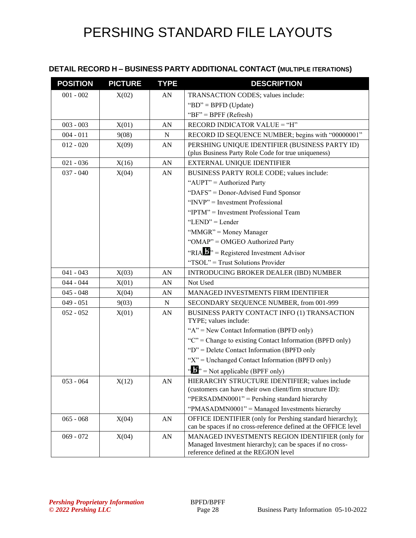#### **DETAIL RECORD H – BUSINESS PARTY ADDITIONAL CONTACT (MULTIPLE ITERATIONS)**

| <b>POSITION</b> | <b>PICTURE</b> | <b>TYPE</b>      | <b>DESCRIPTION</b>                                                                                                                                    |
|-----------------|----------------|------------------|-------------------------------------------------------------------------------------------------------------------------------------------------------|
| $001 - 002$     | X(02)          | AN               | TRANSACTION CODES; values include:                                                                                                                    |
|                 |                |                  | "BD" = BPFD (Update)                                                                                                                                  |
|                 |                |                  | " $BF$ " = BPFF (Refresh)                                                                                                                             |
| $003 - 003$     | X(01)          | AN               | RECORD INDICATOR VALUE = "H"                                                                                                                          |
| $004 - 011$     | 9(08)          | N                | RECORD ID SEQUENCE NUMBER; begins with "00000001"                                                                                                     |
| $012 - 020$     | X(09)          | AN               | PERSHING UNIQUE IDENTIFIER (BUSINESS PARTY ID)<br>(plus Business Party Role Code for true uniqueness)                                                 |
| $021 - 036$     | X(16)          | AN               | EXTERNAL UNIQUE IDENTIFIER                                                                                                                            |
| $037 - 040$     | X(04)          | AN               | BUSINESS PARTY ROLE CODE; values include:                                                                                                             |
|                 |                |                  | "AUPT" = Authorized Party                                                                                                                             |
|                 |                |                  | "DAFS" = Donor-Advised Fund Sponsor                                                                                                                   |
|                 |                |                  | "INVP" = Investment Professional                                                                                                                      |
|                 |                |                  | "IPTM" = Investment Professional Team                                                                                                                 |
|                 |                |                  | "LEND" = Lender                                                                                                                                       |
|                 |                |                  | "MMGR" = Money Manager                                                                                                                                |
|                 |                |                  | "OMAP" = OMGEO Authorized Party                                                                                                                       |
|                 |                |                  | "RIA $\mathbf{B}$ " = Registered Investment Advisor                                                                                                   |
|                 |                |                  | "TSOL" = Trust Solutions Provider                                                                                                                     |
| $041 - 043$     | X(03)          | AN               | <b>INTRODUCING BROKER DEALER (IBD) NUMBER</b>                                                                                                         |
| $044 - 044$     | X(01)          | AN               | Not Used                                                                                                                                              |
| $045 - 048$     | X(04)          | AN               | <b>MANAGED INVESTMENTS FIRM IDENTIFIER</b>                                                                                                            |
| $049 - 051$     | 9(03)          | $\mathbf N$      | SECONDARY SEQUENCE NUMBER, from 001-999                                                                                                               |
| $052 - 052$     | X(01)          | AN               | BUSINESS PARTY CONTACT INFO (1) TRANSACTION<br>TYPE; values include:                                                                                  |
|                 |                |                  | " $A$ " = New Contact Information (BPFD only)                                                                                                         |
|                 |                |                  | " $C$ " = Change to existing Contact Information (BPFD only)                                                                                          |
|                 |                |                  | "D" = Delete Contact Information (BPFD only                                                                                                           |
|                 |                |                  | " $X$ " = Unchanged Contact Information (BPFD only)                                                                                                   |
|                 |                |                  | $\mathbf{B}^{\prime\prime}$ = Not applicable (BPFF only)                                                                                              |
| $053 - 064$     | X(12)          | ${\bf A}{\bf N}$ | HIERARCHY STRUCTURE IDENTIFIER; values include<br>(customers can have their own client/firm structure ID):                                            |
|                 |                |                  | "PERSADMN0001" = Pershing standard hierarchy                                                                                                          |
|                 |                |                  | "PMASADMN0001" = Managed Investments hierarchy                                                                                                        |
| $065 - 068$     | X(04)          | AN               | OFFICE IDENTIFIER (only for Pershing standard hierarchy);<br>can be spaces if no cross-reference defined at the OFFICE level                          |
| $069 - 072$     | X(04)          | AN               | MANAGED INVESTMENTS REGION IDENTIFIER (only for<br>Managed Investment hierarchy); can be spaces if no cross-<br>reference defined at the REGION level |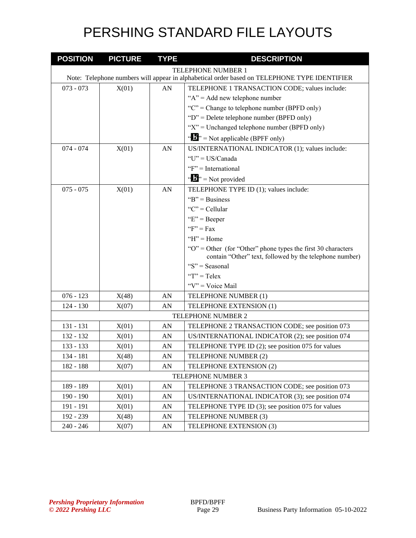| <b>POSITION</b>           | <b>PICTURE</b>                                                                               | <b>TYPE</b> | <b>DESCRIPTION</b>                                                                                                          |  |  |
|---------------------------|----------------------------------------------------------------------------------------------|-------------|-----------------------------------------------------------------------------------------------------------------------------|--|--|
| <b>TELEPHONE NUMBER 1</b> |                                                                                              |             |                                                                                                                             |  |  |
|                           | Note: Telephone numbers will appear in alphabetical order based on TELEPHONE TYPE IDENTIFIER |             |                                                                                                                             |  |  |
| $073 - 073$               | X(01)                                                                                        | AN          | TELEPHONE 1 TRANSACTION CODE; values include:                                                                               |  |  |
|                           |                                                                                              |             | " $A$ " = Add new telephone number                                                                                          |  |  |
|                           |                                                                                              |             | " $C$ " = Change to telephone number (BPFD only)                                                                            |  |  |
|                           |                                                                                              |             | " $D$ " = Delete telephone number (BPFD only)                                                                               |  |  |
|                           |                                                                                              |             | " $X$ " = Unchanged telephone number (BPFD only)                                                                            |  |  |
|                           |                                                                                              |             | " $\mathbf{F}$ " = Not applicable (BPFF only)                                                                               |  |  |
| $074 - 074$               | X(01)                                                                                        | AN          | US/INTERNATIONAL INDICATOR (1); values include:                                                                             |  |  |
|                           |                                                                                              |             | " $U$ " = US/Canada                                                                                                         |  |  |
|                           |                                                                                              |             | "F" = International                                                                                                         |  |  |
|                           |                                                                                              |             | $\mathbf{A}^{\mathbf{B}}$ <sup>3</sup> = Not provided                                                                       |  |  |
| $075 - 075$               | X(01)                                                                                        | AN          | TELEPHONE TYPE ID (1); values include:                                                                                      |  |  |
|                           |                                                                                              |             | " $B$ " = Business"                                                                                                         |  |  |
|                           |                                                                                              |             | " $C$ " = Cellular                                                                                                          |  |  |
|                           |                                                                                              |             | " $E$ " = Beeper                                                                                                            |  |  |
|                           |                                                                                              |             | " $F$ " = Fax                                                                                                               |  |  |
|                           |                                                                                              |             | $H'' =$ Home                                                                                                                |  |  |
|                           |                                                                                              |             | " $O$ " = Other (for "Other" phone types the first 30 characters<br>contain "Other" text, followed by the telephone number) |  |  |
|                           |                                                                                              |             | " $S$ " = Seasonal                                                                                                          |  |  |
|                           |                                                                                              |             | " $T$ " = Telex                                                                                                             |  |  |
|                           |                                                                                              |             | " $V$ " = Voice Mail                                                                                                        |  |  |
| $076 - 123$               | X(48)                                                                                        | AN          | TELEPHONE NUMBER (1)                                                                                                        |  |  |
| $124 - 130$               | X(07)                                                                                        | AN          | TELEPHONE EXTENSION (1)                                                                                                     |  |  |
|                           |                                                                                              |             | TELEPHONE NUMBER 2                                                                                                          |  |  |
| 131 - 131                 | X(01)                                                                                        | AN          | TELEPHONE 2 TRANSACTION CODE; see position 073                                                                              |  |  |
| 132 - 132                 | X(01)                                                                                        | AN          | US/INTERNATIONAL INDICATOR (2); see position 074                                                                            |  |  |
| 133 - 133                 | X(01)                                                                                        | AN          | TELEPHONE TYPE ID (2); see position 075 for values                                                                          |  |  |
| 134 - 181                 | X(48)                                                                                        | AN          | TELEPHONE NUMBER (2)                                                                                                        |  |  |
| 182 - 188                 | X(07)                                                                                        | AN          | TELEPHONE EXTENSION (2)                                                                                                     |  |  |
|                           |                                                                                              |             | TELEPHONE NUMBER 3                                                                                                          |  |  |
| 189 - 189                 | X(01)                                                                                        | ${\rm AN}$  | TELEPHONE 3 TRANSACTION CODE; see position 073                                                                              |  |  |
| 190 - 190                 | X(01)                                                                                        | AN          | US/INTERNATIONAL INDICATOR (3); see position 074                                                                            |  |  |
| 191 - 191                 | X(01)                                                                                        | AN          | TELEPHONE TYPE ID (3); see position 075 for values                                                                          |  |  |
| 192 - 239                 | X(48)                                                                                        | AN          | TELEPHONE NUMBER (3)                                                                                                        |  |  |
| $240 - 246$               | X(07)                                                                                        | AN          | TELEPHONE EXTENSION (3)                                                                                                     |  |  |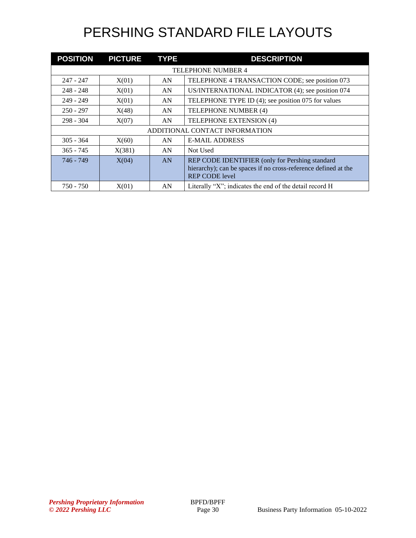| <b>POSITION</b>                | <b>PICTURE</b>            | <b>TYPE</b> | <b>DESCRIPTION</b>                                                                                                                         |  |  |  |
|--------------------------------|---------------------------|-------------|--------------------------------------------------------------------------------------------------------------------------------------------|--|--|--|
|                                | <b>TELEPHONE NUMBER 4</b> |             |                                                                                                                                            |  |  |  |
| 247 - 247                      | X(01)                     | AN          | TELEPHONE 4 TRANSACTION CODE; see position 073                                                                                             |  |  |  |
| $248 - 248$                    | X(01)                     | AN          | US/INTERNATIONAL INDICATOR (4); see position 074                                                                                           |  |  |  |
| $249 - 249$                    | X(01)                     | AN          | TELEPHONE TYPE ID (4); see position 075 for values                                                                                         |  |  |  |
| $250 - 297$                    | X(48)                     | AN          | TELEPHONE NUMBER (4)                                                                                                                       |  |  |  |
| $298 - 304$                    | X(07)                     | AN          | TELEPHONE EXTENSION (4)                                                                                                                    |  |  |  |
| ADDITIONAL CONTACT INFORMATION |                           |             |                                                                                                                                            |  |  |  |
| $305 - 364$                    | X(60)                     | AN          | <b>E-MAIL ADDRESS</b>                                                                                                                      |  |  |  |
| $365 - 745$                    | X(381)                    | AN          | Not Used                                                                                                                                   |  |  |  |
| 746 - 749                      | X(04)                     | AN          | REP CODE IDENTIFIER (only for Pershing standard<br>hierarchy); can be spaces if no cross-reference defined at the<br><b>REP CODE level</b> |  |  |  |
| 750 - 750                      | X(01)                     | AN          | Literally "X"; indicates the end of the detail record $H$                                                                                  |  |  |  |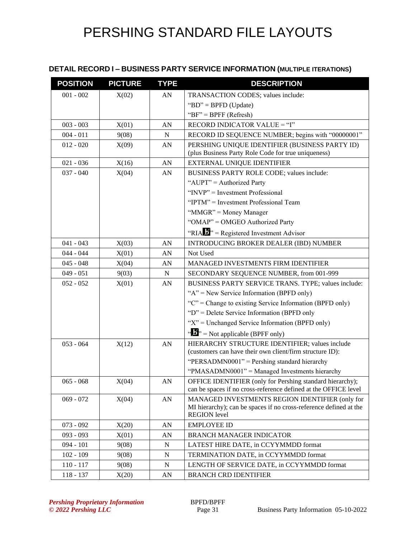### **DETAIL RECORD I – BUSINESS PARTY SERVICE INFORMATION (MULTIPLE ITERATIONS)**

| <b>POSITION</b> | <b>PICTURE</b> | <b>TYPE</b> | <b>DESCRIPTION</b>                                                                                                                          |
|-----------------|----------------|-------------|---------------------------------------------------------------------------------------------------------------------------------------------|
| $001 - 002$     | X(02)          | AN          | TRANSACTION CODES; values include:                                                                                                          |
|                 |                |             | "BD" = BPFD (Update)                                                                                                                        |
|                 |                |             | " $BF$ " = BPFF (Refresh)                                                                                                                   |
| $003 - 003$     | X(01)          | AN          | RECORD INDICATOR VALUE = "I"                                                                                                                |
| $004 - 011$     | 9(08)          | N           | RECORD ID SEQUENCE NUMBER; begins with "00000001"                                                                                           |
| $012 - 020$     | X(09)          | AN          | PERSHING UNIQUE IDENTIFIER (BUSINESS PARTY ID)<br>(plus Business Party Role Code for true uniqueness)                                       |
| $021 - 036$     | X(16)          | AN          | <b>EXTERNAL UNIQUE IDENTIFIER</b>                                                                                                           |
| $037 - 040$     | X(04)          | AN          | BUSINESS PARTY ROLE CODE; values include:                                                                                                   |
|                 |                |             | "AUPT" = Authorized Party                                                                                                                   |
|                 |                |             | "INVP" = Investment Professional                                                                                                            |
|                 |                |             | "IPTM" = Investment Professional Team                                                                                                       |
|                 |                |             | "MMGR" = Money Manager                                                                                                                      |
|                 |                |             | "OMAP" = OMGEO Authorized Party                                                                                                             |
|                 |                |             | "RIA $\mathbf{B}$ " = Registered Investment Advisor                                                                                         |
| $041 - 043$     | X(03)          | AN          | <b>INTRODUCING BROKER DEALER (IBD) NUMBER</b>                                                                                               |
| $044 - 044$     | X(01)          | AN          | Not Used                                                                                                                                    |
| $045 - 048$     | X(04)          | AN          | <b>MANAGED INVESTMENTS FIRM IDENTIFIER</b>                                                                                                  |
| $049 - 051$     | 9(03)          | N           | SECONDARY SEQUENCE NUMBER, from 001-999                                                                                                     |
| $052 - 052$     | X(01)          | AN          | BUSINESS PARTY SERVICE TRANS. TYPE; values include:                                                                                         |
|                 |                |             | " $A$ " = New Service Information (BPFD only)                                                                                               |
|                 |                |             | " $C$ " = Change to existing Service Information (BPFD only)                                                                                |
|                 |                |             | " $D$ " = Delete Service Information (BPFD only                                                                                             |
|                 |                |             | " $X$ " = Unchanged Service Information (BPFD only)                                                                                         |
|                 |                |             | $\mathbf{B}^{\prime\prime}$ = Not applicable (BPFF only)                                                                                    |
| $053 - 064$     | X(12)          | AN          | HIERARCHY STRUCTURE IDENTIFIER; values include<br>(customers can have their own client/firm structure ID):                                  |
|                 |                |             | "PERSADMN0001" = Pershing standard hierarchy                                                                                                |
|                 |                |             | "PMASADMN0001" = Managed Investments hierarchy                                                                                              |
| $065 - 068$     | X(04)          | ${\rm AN}$  | OFFICE IDENTIFIER (only for Pershing standard hierarchy);<br>can be spaces if no cross-reference defined at the OFFICE level                |
| $069 - 072$     | X(04)          | AN          | MANAGED INVESTMENTS REGION IDENTIFIER (only for<br>MI hierarchy); can be spaces if no cross-reference defined at the<br><b>REGION</b> level |
| $073 - 092$     | X(20)          | AN          | <b>EMPLOYEE ID</b>                                                                                                                          |
| $093 - 093$     | X(01)          | AN          | <b>BRANCH MANAGER INDICATOR</b>                                                                                                             |
| $094 - 101$     | 9(08)          | N           | LATEST HIRE DATE, in CCYYMMDD format                                                                                                        |
| $102 - 109$     | 9(08)          | $\mathbf N$ | TERMINATION DATE, in CCYYMMDD format                                                                                                        |
| $110 - 117$     | 9(08)          | N           | LENGTH OF SERVICE DATE, in CCYYMMDD format                                                                                                  |
| $118 - 137$     | X(20)          | AN          | <b>BRANCH CRD IDENTIFIER</b>                                                                                                                |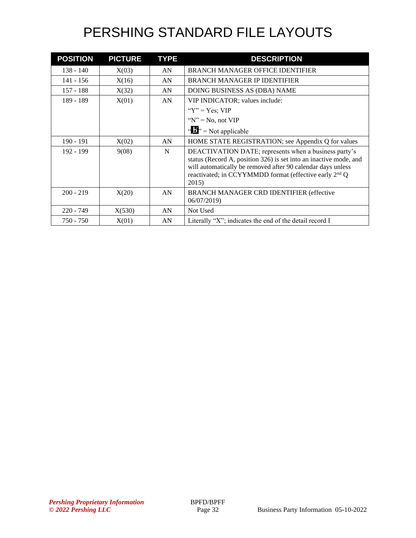| <b>POSITION</b> | <b>PICTURE</b> | <b>TYPE</b> | <b>DESCRIPTION</b>                                                                                                                                                                                                                                                       |
|-----------------|----------------|-------------|--------------------------------------------------------------------------------------------------------------------------------------------------------------------------------------------------------------------------------------------------------------------------|
| $138 - 140$     | X(03)          | AN          | <b>BRANCH MANAGER OFFICE IDENTIFIER</b>                                                                                                                                                                                                                                  |
| 141 - 156       | X(16)          | AN          | <b>BRANCH MANAGER IP IDENTIFIER</b>                                                                                                                                                                                                                                      |
| $157 - 188$     | X(32)          | AN          | DOING BUSINESS AS (DBA) NAME                                                                                                                                                                                                                                             |
| 189 - 189       | X(01)          | AN          | VIP INDICATOR; values include:                                                                                                                                                                                                                                           |
|                 |                |             | " $Y$ " = Yes: VIP                                                                                                                                                                                                                                                       |
|                 |                |             | " $N$ " = No, not VIP                                                                                                                                                                                                                                                    |
|                 |                |             | $\mathbf{A}^{\prime\prime}$ , = Not applicable                                                                                                                                                                                                                           |
| $190 - 191$     | X(02)          | AN          | HOME STATE REGISTRATION; see Appendix Q for values                                                                                                                                                                                                                       |
| $192 - 199$     | 9(08)          | N           | DEACTIVATION DATE; represents when a business party's<br>status (Record A, position 326) is set into an inactive mode, and<br>will automatically be removed after 90 calendar days unless<br>reactivated; in CCYYMMDD format (effective early 2 <sup>nd</sup> Q<br>2015) |
| $200 - 219$     | X(20)          | AN          | <b>BRANCH MANAGER CRD IDENTIFIER (effective</b><br>06/07/2019                                                                                                                                                                                                            |
| $220 - 749$     | X(530)         | AN          | Not Used                                                                                                                                                                                                                                                                 |
| $750 - 750$     | X(01)          | AN          | Literally " $X$ "; indicates the end of the detail record I                                                                                                                                                                                                              |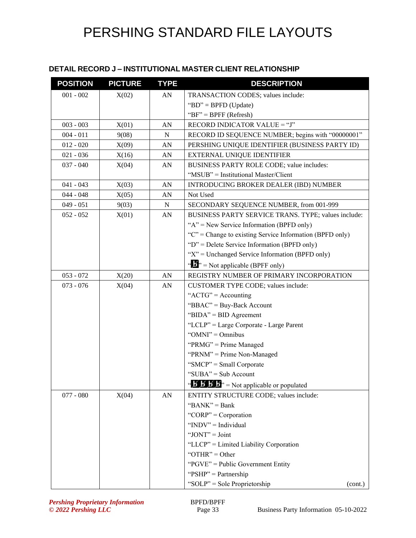#### **DETAIL RECORD J – INSTITUTIONAL MASTER CLIENT RELATIONSHIP**

| <b>POSITION</b> | <b>PICTURE</b> | <b>TYPE</b> | <b>DESCRIPTION</b>                                                      |
|-----------------|----------------|-------------|-------------------------------------------------------------------------|
| $001 - 002$     | X(02)          | AN          | TRANSACTION CODES; values include:                                      |
|                 |                |             | "BD" = BPFD (Update)                                                    |
|                 |                |             | " $BF" = BPFF (Refresh)$                                                |
| $003 - 003$     | X(01)          | AN          | RECORD INDICATOR VALUE = "J"                                            |
| $004 - 011$     | 9(08)          | N           | RECORD ID SEQUENCE NUMBER; begins with "00000001"                       |
| $012 - 020$     | X(09)          | AN          | PERSHING UNIQUE IDENTIFIER (BUSINESS PARTY ID)                          |
| $021 - 036$     | X(16)          | AN          | EXTERNAL UNIQUE IDENTIFIER                                              |
| $037 - 040$     | X(04)          | AN          | BUSINESS PARTY ROLE CODE; value includes:                               |
|                 |                |             | "MSUB" = Institutional Master/Client                                    |
| $041 - 043$     | X(03)          | AN          | INTRODUCING BROKER DEALER (IBD) NUMBER                                  |
| $044 - 048$     | X(05)          | AN          | Not Used                                                                |
| $049 - 051$     | 9(03)          | N           | SECONDARY SEQUENCE NUMBER, from 001-999                                 |
| $052 - 052$     | X(01)          | AN          | BUSINESS PARTY SERVICE TRANS. TYPE; values include:                     |
|                 |                |             | " $A$ " = New Service Information (BPFD only)                           |
|                 |                |             | " $C$ " = Change to existing Service Information (BPFD only)            |
|                 |                |             | " $D$ " = Delete Service Information (BPFD only)                        |
|                 |                |             | " $X$ " = Unchanged Service Information (BPFD only)                     |
|                 |                |             | $\mathbf{B}^{\prime\prime}$ = Not applicable (BPFF only)                |
| $053 - 072$     | X(20)          | ${\rm AN}$  | REGISTRY NUMBER OF PRIMARY INCORPORATION                                |
| $073 - 076$     | X(04)          | AN          | CUSTOMER TYPE CODE; values include:                                     |
|                 |                |             | " $ACTG" = Accounting$                                                  |
|                 |                |             | "BBAC" = Buy-Back Account                                               |
|                 |                |             | "BIDA" = BID Agreement                                                  |
|                 |                |             | "LCLP" = Large Corporate - Large Parent                                 |
|                 |                |             | " $OMNI" = Omnibus$                                                     |
|                 |                |             | "PRMG" = Prime Managed                                                  |
|                 |                |             | "PRNM" = Prime Non-Managed                                              |
|                 |                |             | "SMCP" = Small Corporate                                                |
|                 |                |             | "SUBA" = Sub Account                                                    |
|                 |                |             | " $\mathbf{B}' \mathbf{B}' \mathbf{B}'$ " = Not applicable or populated |
| $077 - 080$     | X(04)          | AN          | ENTITY STRUCTURE CODE; values include:                                  |
|                 |                |             | " $BANK" = Bank$                                                        |
|                 |                |             | "CORP" = Corporation                                                    |
|                 |                |             | " $INDV" = Individual$                                                  |
|                 |                |             | "JONT" = $Joint$                                                        |
|                 |                |             | "LLCP" = Limited Liability Corporation                                  |
|                 |                |             | "OTHR" = Other                                                          |
|                 |                |             | "PGVE" = Public Government Entity                                       |
|                 |                |             | " $PSHP" = Partnership$                                                 |
|                 |                |             | "SOLP" = Sole Proprietorship<br>(cont.)                                 |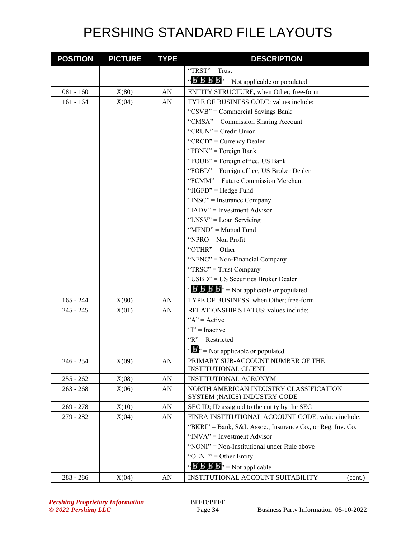| <b>POSITION</b> | <b>PICTURE</b> | <b>TYPE</b> | <b>DESCRIPTION</b>                                                                     |
|-----------------|----------------|-------------|----------------------------------------------------------------------------------------|
|                 |                |             | "TRST" = Trust                                                                         |
|                 |                |             | " $\mathbf{B}' \mathbf{B}' \mathbf{B}'$ " = Not applicable or populated                |
| $081 - 160$     | X(80)          | AN          | ENTITY STRUCTURE, when Other; free-form                                                |
| $161 - 164$     | X(04)          | AN          | TYPE OF BUSINESS CODE; values include:                                                 |
|                 |                |             | "CSVB" = Commercial Savings Bank                                                       |
|                 |                |             | "CMSA" = Commission Sharing Account                                                    |
|                 |                |             | "CRUN" = Credit Union                                                                  |
|                 |                |             | "CRCD" = Currency Dealer                                                               |
|                 |                |             | "FBNK" = Foreign Bank                                                                  |
|                 |                |             | "FOUB" = Foreign office, US Bank                                                       |
|                 |                |             | "FOBD" = Foreign office, US Broker Dealer                                              |
|                 |                |             | "FCMM" = Future Commission Merchant                                                    |
|                 |                |             | "HGFD" = Hedge Fund                                                                    |
|                 |                |             | " $INSC"$ = Insurance Company                                                          |
|                 |                |             | "IADV" = Investment Advisor                                                            |
|                 |                |             | "LNSV" = Loan Servicing                                                                |
|                 |                |             | "MFND" = Mutual Fund                                                                   |
|                 |                |             | "NPRO $=$ Non Profit                                                                   |
|                 |                |             | "OTHR" = Other                                                                         |
|                 |                |             | "NFNC" = Non-Financial Company                                                         |
|                 |                |             | "TRSC" = Trust Company                                                                 |
|                 |                |             | "USBD" = US Securities Broker Dealer                                                   |
|                 |                |             | $\mathbf{B}'$ $\mathbf{B}'$ $\mathbf{B}'$ $\mathbf{B}''$ = Not applicable or populated |
| $165 - 244$     | X(80)          | AN          | TYPE OF BUSINESS, when Other; free-form                                                |
| $245 - 245$     | X(01)          | AN          | RELATIONSHIP STATUS; values include:                                                   |
|                 |                |             | " $A$ " = Active                                                                       |
|                 |                |             | " $I$ " = Inactive"                                                                    |
|                 |                |             | " $R$ " = Restricted                                                                   |
|                 |                |             | $\mathbf{B}^{\prime\prime}$ = Not applicable or populated                              |
| $246 - 254$     | X(09)          | AN          | PRIMARY SUB-ACCOUNT NUMBER OF THE                                                      |
|                 |                |             | <b>INSTITUTIONAL CLIENT</b>                                                            |
| $255 - 262$     | X(08)          | ${\rm AN}$  | <b>INSTITUTIONAL ACRONYM</b>                                                           |
| $263 - 268$     | X(06)          | ${\rm AN}$  | NORTH AMERICAN INDUSTRY CLASSIFICATION<br>SYSTEM (NAICS) INDUSTRY CODE                 |
| $269 - 278$     | X(10)          | AN          | SEC ID; ID assigned to the entity by the SEC                                           |
| 279 - 282       | X(04)          | AN          | FINRA INSTITUTIONAL ACCOUNT CODE; values include:                                      |
|                 |                |             | "BKRI" = Bank, S&L Assoc., Insurance Co., or Reg. Inv. Co.                             |
|                 |                |             | " $INVA$ " = Investment Advisor                                                        |
|                 |                |             | "NONI" = Non-Institutional under Rule above                                            |
|                 |                |             | " $OENT" = Other Entity$                                                               |
|                 |                |             | $\mathbf{B}'$ <b>b</b> $\mathbf{B}'$ <b>b</b> $\mathbf{b}'$ = Not applicable           |
| 283 - 286       | X(04)          | AN          | INSTITUTIONAL ACCOUNT SUITABILITY<br>(cont.)                                           |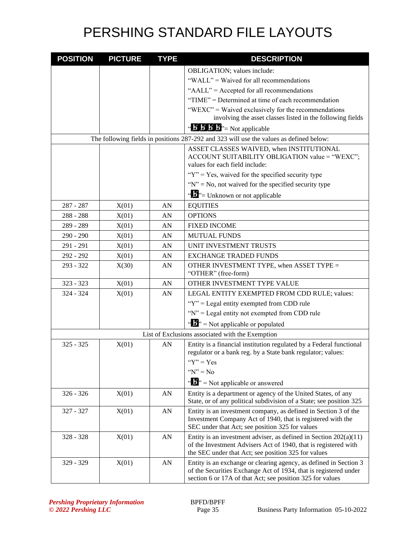| <b>POSITION</b> | <b>PICTURE</b> | <b>TYPE</b> | <b>DESCRIPTION</b>                                                                                                                                                                                 |
|-----------------|----------------|-------------|----------------------------------------------------------------------------------------------------------------------------------------------------------------------------------------------------|
|                 |                |             | OBLIGATION; values include:                                                                                                                                                                        |
|                 |                |             | "WALL" = Waived for all recommendations                                                                                                                                                            |
|                 |                |             | "AALL" = Accepted for all recommendations                                                                                                                                                          |
|                 |                |             | "TIME" = Determined at time of each recommendation                                                                                                                                                 |
|                 |                |             | "WEXC" = Waived exclusively for the recommendations                                                                                                                                                |
|                 |                |             | involving the asset classes listed in the following fields                                                                                                                                         |
|                 |                |             | $\mathbf{B}'$ <b>b</b> $\mathbf{B}'$ <b>b</b> $\mathbf{B}'$ = Not applicable                                                                                                                       |
|                 |                |             | The following fields in positions 287-292 and 323 will use the values as defined below:                                                                                                            |
|                 |                |             | ASSET CLASSES WAIVED, when INSTITUTIONAL<br>ACCOUNT SUITABILITY OBLIGATION value = "WEXC";<br>values for each field include:                                                                       |
|                 |                |             | " $Y$ " = Yes, waived for the specified security type                                                                                                                                              |
|                 |                |             | " $N$ " = No, not waived for the specified security type                                                                                                                                           |
|                 |                |             |                                                                                                                                                                                                    |
|                 |                |             | " $\mathbf{J}$ "= Unknown or not applicable                                                                                                                                                        |
| 287 - 287       | X(01)          | AN          | <b>EQUITIES</b>                                                                                                                                                                                    |
| $288 - 288$     | X(01)          | AN          | <b>OPTIONS</b>                                                                                                                                                                                     |
| 289 - 289       | X(01)          | AN          | <b>FIXED INCOME</b>                                                                                                                                                                                |
| $290 - 290$     | X(01)          | AN          | <b>MUTUAL FUNDS</b>                                                                                                                                                                                |
| 291 - 291       | X(01)          | AN          | UNIT INVESTMENT TRUSTS                                                                                                                                                                             |
| 292 - 292       | X(01)          | AN          | <b>EXCHANGE TRADED FUNDS</b>                                                                                                                                                                       |
| $293 - 322$     | X(30)          | AN          | OTHER INVESTMENT TYPE, when ASSET TYPE =<br>"OTHER" (free-form)                                                                                                                                    |
| $323 - 323$     | X(01)          | AN          | OTHER INVESTMENT TYPE VALUE                                                                                                                                                                        |
| $324 - 324$     | X(01)          | AN          | LEGAL ENTITY EXEMPTED FROM CDD RULE; values:                                                                                                                                                       |
|                 |                |             | " $Y$ " = Legal entity exempted from CDD rule                                                                                                                                                      |
|                 |                |             | "N" = Legal entity not exempted from CDD rule                                                                                                                                                      |
|                 |                |             | $\mathbf{A}^{\bullet}$ = Not applicable or populated                                                                                                                                               |
|                 |                |             | List of Exclusions associated with the Exemption                                                                                                                                                   |
| $325 - 325$     | X(01)          | AN          | Entity is a financial institution regulated by a Federal functional<br>regulator or a bank reg. by a State bank regulator; values:                                                                 |
|                 |                |             | " $Y$ " = Yes                                                                                                                                                                                      |
|                 |                |             | " $N$ " = No                                                                                                                                                                                       |
|                 |                |             | $\mathbf{A}^{\prime\prime}$ = Not applicable or answered                                                                                                                                           |
| $326 - 326$     | X(01)          | AN          | Entity is a department or agency of the United States, of any<br>State, or of any political subdivision of a State; see position 325                                                               |
| 327 - 327       | X(01)          | ${\rm AN}$  | Entity is an investment company, as defined in Section 3 of the<br>Investment Company Act of 1940, that is registered with the<br>SEC under that Act; see position 325 for values                  |
| 328 - 328       | X(01)          | AN          | Entity is an investment adviser, as defined in Section $202(a)(11)$<br>of the Investment Advisers Act of 1940, that is registered with<br>the SEC under that Act; see position 325 for values      |
| 329 - 329       | X(01)          | AN          | Entity is an exchange or clearing agency, as defined in Section 3<br>of the Securities Exchange Act of 1934, that is registered under<br>section 6 or 17A of that Act; see position 325 for values |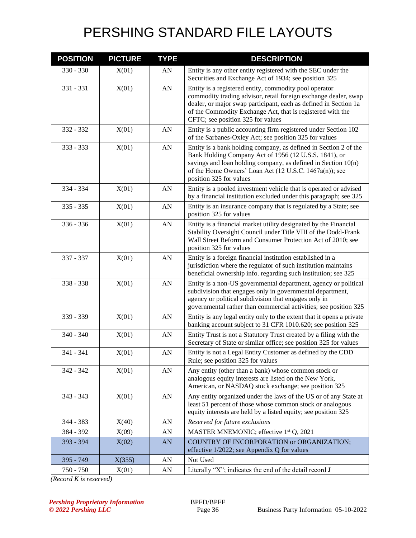| <b>POSITION</b> | <b>PICTURE</b> | <b>TYPE</b> | <b>DESCRIPTION</b>                                                                                                                                                                                                                                                                               |
|-----------------|----------------|-------------|--------------------------------------------------------------------------------------------------------------------------------------------------------------------------------------------------------------------------------------------------------------------------------------------------|
| 330 - 330       | X(01)          | AN          | Entity is any other entity registered with the SEC under the<br>Securities and Exchange Act of 1934; see position 325                                                                                                                                                                            |
| $331 - 331$     | X(01)          | ${\rm AN}$  | Entity is a registered entity, commodity pool operator<br>commodity trading advisor, retail foreign exchange dealer, swap<br>dealer, or major swap participant, each as defined in Section 1a<br>of the Commodity Exchange Act, that is registered with the<br>CFTC; see position 325 for values |
| 332 - 332       | X(01)          | AN          | Entity is a public accounting firm registered under Section 102<br>of the Sarbanes-Oxley Act; see position 325 for values                                                                                                                                                                        |
| 333 - 333       | X(01)          | AN          | Entity is a bank holding company, as defined in Section 2 of the<br>Bank Holding Company Act of 1956 (12 U.S.S. 1841), or<br>savings and loan holding company, as defined in Section $10(n)$<br>of the Home Owners' Loan Act (12 U.S.C. 1467a(n)); see<br>position 325 for values                |
| 334 - 334       | X(01)          | AN          | Entity is a pooled investment vehicle that is operated or advised<br>by a financial institution excluded under this paragraph; see 325                                                                                                                                                           |
| $335 - 335$     | X(01)          | AN          | Entity is an insurance company that is regulated by a State; see<br>position 325 for values                                                                                                                                                                                                      |
| 336 - 336       | X(01)          | AN          | Entity is a financial market utility designated by the Financial<br>Stability Oversight Council under Title VIII of the Dodd-Frank<br>Wall Street Reform and Consumer Protection Act of 2010; see<br>position 325 for values                                                                     |
| 337 - 337       | X(01)          | AN          | Entity is a foreign financial institution established in a<br>jurisdiction where the regulator of such institution maintains<br>beneficial ownership info. regarding such institution; see 325                                                                                                   |
| 338 - 338       | X(01)          | AN          | Entity is a non-US governmental department, agency or political<br>subdivision that engages only in governmental department,<br>agency or political subdivision that engages only in<br>governmental rather than commercial activities; see position 325                                         |
| 339 - 339       | X(01)          | AN          | Entity is any legal entity only to the extent that it opens a private<br>banking account subject to 31 CFR 1010.620; see position 325                                                                                                                                                            |
| 340 - 340       | X(01)          | AN          | Entity Trust is not a Statutory Trust created by a filing with the<br>Secretary of State or similar office; see position 325 for values                                                                                                                                                          |
| 341 - 341       | X(01)          | AN          | Entity is not a Legal Entity Customer as defined by the CDD<br>Rule; see position 325 for values                                                                                                                                                                                                 |
| 342 - 342       | X(01)          | AN          | Any entity (other than a bank) whose common stock or<br>analogous equity interests are listed on the New York,<br>American, or NASDAQ stock exchange; see position 325                                                                                                                           |
| 343 - 343       | X(01)          | AN          | Any entity organized under the laws of the US or of any State at<br>least 51 percent of those whose common stock or analogous<br>equity interests are held by a listed equity; see position 325                                                                                                  |
| 344 - 383       | X(40)          | AN          | Reserved for future exclusions                                                                                                                                                                                                                                                                   |
| 384 - 392       | X(09)          | AN          | MASTER MNEMONIC; effective 1 <sup>st</sup> Q, 2021                                                                                                                                                                                                                                               |
| 393 - 394       | X(02)          | AN          | COUNTRY OF INCORPORATION or ORGANIZATION;<br>effective 1/2022; see Appendix Q for values                                                                                                                                                                                                         |
| 395 - 749       | X(355)         | AN          | Not Used                                                                                                                                                                                                                                                                                         |
| 750 - 750       | X(01)          | ${\rm AN}$  | Literally "X"; indicates the end of the detail record J                                                                                                                                                                                                                                          |

*(Record K is reserved)*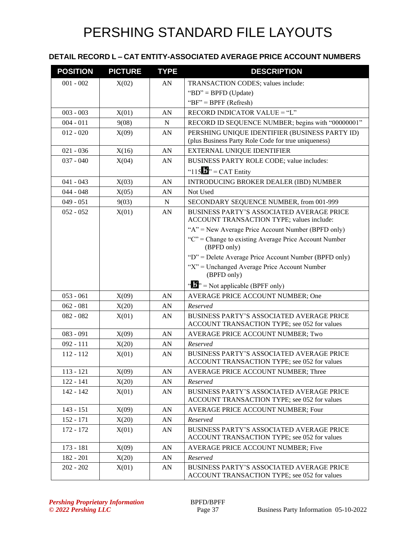#### **DETAIL RECORD L – CAT ENTITY-ASSOCIATED AVERAGE PRICE ACCOUNT NUMBERS**

| <b>POSITION</b> | <b>PICTURE</b> | <b>TYPE</b> | <b>DESCRIPTION</b>                                                                                    |
|-----------------|----------------|-------------|-------------------------------------------------------------------------------------------------------|
| $001 - 002$     | X(02)          | AN          | TRANSACTION CODES; values include:                                                                    |
|                 |                |             | "BD" = BPFD (Update)                                                                                  |
|                 |                |             | " $BF$ " = $BPFF$ (Refresh)                                                                           |
| $003 - 003$     | X(01)          | AN          | RECORD INDICATOR VALUE = "L"                                                                          |
| $004 - 011$     | 9(08)          | N           | RECORD ID SEQUENCE NUMBER; begins with "00000001"                                                     |
| $012 - 020$     | X(09)          | AN          | PERSHING UNIQUE IDENTIFIER (BUSINESS PARTY ID)<br>(plus Business Party Role Code for true uniqueness) |
| $021 - 036$     | X(16)          | AN          | EXTERNAL UNIQUE IDENTIFIER                                                                            |
| $037 - 040$     | X(04)          | AN          | BUSINESS PARTY ROLE CODE; value includes:                                                             |
|                 |                |             | " $115$ " = CAT Entity                                                                                |
| $041 - 043$     | X(03)          | AN          | INTRODUCING BROKER DEALER (IBD) NUMBER                                                                |
| $044 - 048$     | X(05)          | AN          | Not Used                                                                                              |
| $049 - 051$     | 9(03)          | $\mathbf N$ | SECONDARY SEQUENCE NUMBER, from 001-999                                                               |
| $052 - 052$     | X(01)          | AN          | <b>BUSINESS PARTY'S ASSOCIATED AVERAGE PRICE</b><br>ACCOUNT TRANSACTION TYPE; values include:         |
|                 |                |             | " $A$ " = New Average Price Account Number (BPFD only)                                                |
|                 |                |             | "C" = Change to existing Average Price Account Number<br>(BPFD only)                                  |
|                 |                |             | "D" = Delete Average Price Account Number (BPFD only)                                                 |
|                 |                |             | "X" = Unchanged Average Price Account Number<br>(BPFD only)                                           |
|                 |                |             | " $\mathbf{F}$ " = Not applicable (BPFF only)                                                         |
| $053 - 061$     | X(09)          | AN          | AVERAGE PRICE ACCOUNT NUMBER; One                                                                     |
| $062 - 081$     | X(20)          | AN          | Reserved                                                                                              |
| $082 - 082$     | X(01)          | AN          | BUSINESS PARTY'S ASSOCIATED AVERAGE PRICE<br>ACCOUNT TRANSACTION TYPE; see 052 for values             |
| $083 - 091$     | X(09)          | AN          | AVERAGE PRICE ACCOUNT NUMBER; Two                                                                     |
| $092 - 111$     | X(20)          | AN          | Reserved                                                                                              |
| $112 - 112$     | X(01)          | AN          | BUSINESS PARTY'S ASSOCIATED AVERAGE PRICE<br>ACCOUNT TRANSACTION TYPE; see 052 for values             |
| $113 - 121$     | X(09)          | AN          | AVERAGE PRICE ACCOUNT NUMBER; Three                                                                   |
| $122 - 141$     | X(20)          | AN          | Reserved                                                                                              |
| 142 - 142       | X(01)          | AN          | <b>BUSINESS PARTY'S ASSOCIATED AVERAGE PRICE</b><br>ACCOUNT TRANSACTION TYPE; see 052 for values      |
| $143 - 151$     | X(09)          | ${\rm AN}$  | <b>AVERAGE PRICE ACCOUNT NUMBER: Four</b>                                                             |
| 152 - 171       | X(20)          | AN          | Reserved                                                                                              |
| 172 - 172       | X(01)          | AN          | <b>BUSINESS PARTY'S ASSOCIATED AVERAGE PRICE</b><br>ACCOUNT TRANSACTION TYPE; see 052 for values      |
| $173 - 181$     | X(09)          | ${\rm AN}$  | AVERAGE PRICE ACCOUNT NUMBER; Five                                                                    |
| $182 - 201$     | X(20)          | AN          | Reserved                                                                                              |
| $202 - 202$     | X(01)          | AN          | BUSINESS PARTY'S ASSOCIATED AVERAGE PRICE<br>ACCOUNT TRANSACTION TYPE; see 052 for values             |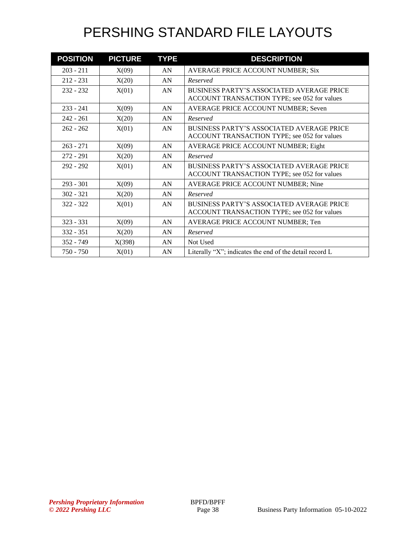| <b>POSITION</b> | <b>PICTURE</b> | <b>TYPE</b> | <b>DESCRIPTION</b>                                                                               |
|-----------------|----------------|-------------|--------------------------------------------------------------------------------------------------|
| $203 - 211$     | X(09)          | AN          | AVERAGE PRICE ACCOUNT NUMBER; Six                                                                |
| $212 - 231$     | X(20)          | AN          | Reserved                                                                                         |
| $232 - 232$     | X(01)          | AN          | <b>BUSINESS PARTY'S ASSOCIATED AVERAGE PRICE</b><br>ACCOUNT TRANSACTION TYPE; see 052 for values |
| $233 - 241$     | X(09)          | AN          | AVERAGE PRICE ACCOUNT NUMBER; Seven                                                              |
| $242 - 261$     | X(20)          | AN          | Reserved                                                                                         |
| $262 - 262$     | X(01)          | AN          | <b>BUSINESS PARTY'S ASSOCIATED AVERAGE PRICE</b><br>ACCOUNT TRANSACTION TYPE; see 052 for values |
| $263 - 271$     | X(09)          | AN          | AVERAGE PRICE ACCOUNT NUMBER; Eight                                                              |
| $272 - 291$     | X(20)          | AN          | Reserved                                                                                         |
| $292 - 292$     | X(01)          | AN          | <b>BUSINESS PARTY'S ASSOCIATED AVERAGE PRICE</b><br>ACCOUNT TRANSACTION TYPE; see 052 for values |
| $293 - 301$     | X(09)          | AN          | AVERAGE PRICE ACCOUNT NUMBER; Nine                                                               |
| $302 - 321$     | X(20)          | AN          | Reserved                                                                                         |
| $322 - 322$     | X(01)          | AN          | <b>BUSINESS PARTY'S ASSOCIATED AVERAGE PRICE</b><br>ACCOUNT TRANSACTION TYPE; see 052 for values |
| $323 - 331$     | X(09)          | AN          | AVERAGE PRICE ACCOUNT NUMBER; Ten                                                                |
| $332 - 351$     | X(20)          | AN          | Reserved                                                                                         |
| 352 - 749       | X(398)         | AN          | Not Used                                                                                         |
| $750 - 750$     | X(01)          | AN          | Literally "X"; indicates the end of the detail record L                                          |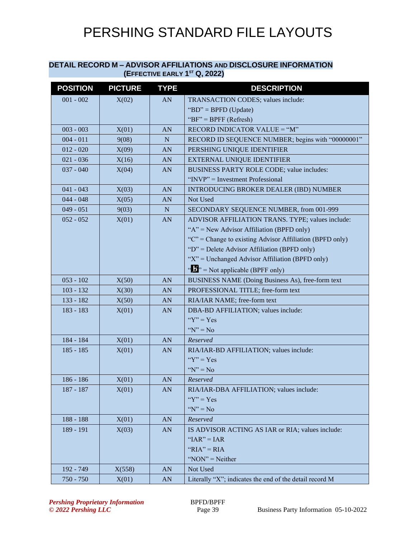#### **DETAIL RECORD M – ADVISOR AFFILIATIONS AND DISCLOSURE INFORMATION (EFFECTIVE EARLY 1 ST Q, 2022)**

| <b>POSITION</b> | <b>PICTURE</b> | <b>TYPE</b> | <b>DESCRIPTION</b>                                                 |
|-----------------|----------------|-------------|--------------------------------------------------------------------|
| $001 - 002$     | X(02)          | AN          | TRANSACTION CODES; values include:                                 |
|                 |                |             | "BD" = BPFD (Update)                                               |
|                 |                |             | " $BF$ " = BPFF (Refresh)                                          |
| $003 - 003$     | X(01)          | <b>AN</b>   | RECORD INDICATOR VALUE = "M"                                       |
| $004 - 011$     | 9(08)          | N           | RECORD ID SEQUENCE NUMBER; begins with "00000001"                  |
| $012 - 020$     | X(09)          | AN          | PERSHING UNIQUE IDENTIFIER                                         |
| $021 - 036$     | X(16)          | <b>AN</b>   | <b>EXTERNAL UNIQUE IDENTIFIER</b>                                  |
| $037 - 040$     | X(04)          | <b>AN</b>   | BUSINESS PARTY ROLE CODE; value includes:                          |
|                 |                |             | "INVP" = Investment Professional                                   |
| $041 - 043$     | X(03)          | <b>AN</b>   | <b>INTRODUCING BROKER DEALER (IBD) NUMBER</b>                      |
| $044 - 048$     | X(05)          | AN          | Not Used                                                           |
| $049 - 051$     | 9(03)          | N           | SECONDARY SEQUENCE NUMBER, from 001-999                            |
| $052 - 052$     | X(01)          | <b>AN</b>   | ADVISOR AFFILIATION TRANS. TYPE; values include:                   |
|                 |                |             | " $A$ " = New Advisor Affiliation (BPFD only)                      |
|                 |                |             | " $C$ " = Change to existing Advisor Affiliation (BPFD only)       |
|                 |                |             | " $D$ " = Delete Advisor Affiliation (BPFD only)                   |
|                 |                |             | "X" = Unchanged Advisor Affiliation (BPFD only)                    |
|                 |                |             | $\cdot \cdot \cdot$ $\cdot \cdot \cdot$ Not applicable (BPFF only) |
| $053 - 102$     | X(50)          | <b>AN</b>   | BUSINESS NAME (Doing Business As), free-form text                  |
| $103 - 132$     | X(30)          | <b>AN</b>   | PROFESSIONAL TITLE; free-form text                                 |
| $133 - 182$     | X(50)          | <b>AN</b>   | RIA/IAR NAME; free-form text                                       |
| $183 - 183$     | X(01)          | <b>AN</b>   | DBA-BD AFFILIATION; values include:                                |
|                 |                |             | " $Y$ " = Yes                                                      |
|                 |                |             | " $N$ " = No                                                       |
| 184 - 184       | X(01)          | <b>AN</b>   | Reserved                                                           |
| $185 - 185$     | X(01)          | AN          | RIA/IAR-BD AFFILIATION; values include:                            |
|                 |                |             | " $Y$ " = Yes                                                      |
|                 |                |             | " $N$ " = No                                                       |
| $186 - 186$     | X(01)          | <b>AN</b>   | Reserved                                                           |
| 187 - 187       | X(01)          | AN          | RIA/IAR-DBA AFFILIATION; values include:                           |
|                 |                |             | " $Y$ " = Yes                                                      |
|                 |                |             | " $N$ " = No                                                       |
| 188 - 188       | X(01)          | AN          | Reserved                                                           |
| 189 - 191       | X(03)          | AN          | IS ADVISOR ACTING AS IAR or RIA; values include:                   |
|                 |                |             | " $IAR$ " = $IAR$                                                  |
|                 |                |             | " $RIA$ " = $RIA$                                                  |
|                 |                |             | " $\text{NON}$ " = Neither                                         |
| 192 - 749       | X(558)         | AN          | Not Used                                                           |
| 750 - 750       | X(01)          | AN          | Literally "X"; indicates the end of the detail record M            |